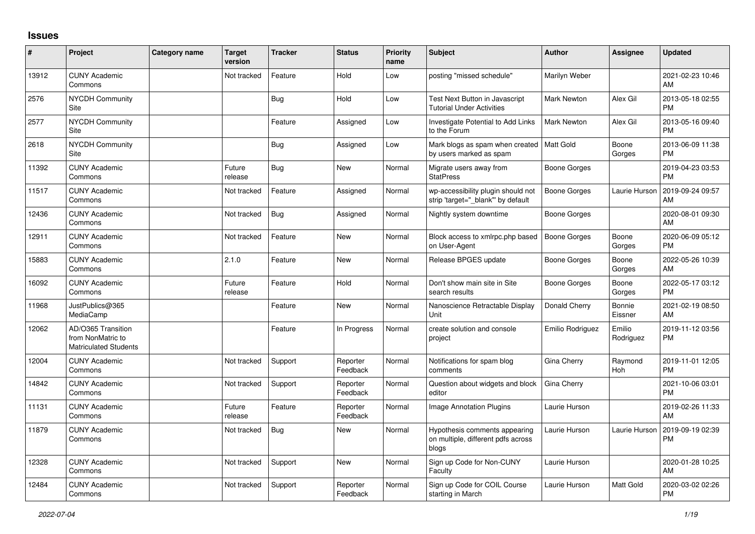## **Issues**

| #     | Project                                                                 | <b>Category name</b> | <b>Target</b><br>version | <b>Tracker</b> | <b>Status</b>        | <b>Priority</b><br>name | <b>Subject</b>                                                               | <b>Author</b>       | <b>Assignee</b>     | <b>Updated</b>                |
|-------|-------------------------------------------------------------------------|----------------------|--------------------------|----------------|----------------------|-------------------------|------------------------------------------------------------------------------|---------------------|---------------------|-------------------------------|
| 13912 | <b>CUNY Academic</b><br>Commons                                         |                      | Not tracked              | Feature        | Hold                 | Low                     | posting "missed schedule"                                                    | Marilyn Weber       |                     | 2021-02-23 10:46<br>AM        |
| 2576  | <b>NYCDH Community</b><br>Site                                          |                      |                          | Bug            | Hold                 | Low                     | Test Next Button in Javascript<br><b>Tutorial Under Activities</b>           | <b>Mark Newton</b>  | Alex Gil            | 2013-05-18 02:55<br><b>PM</b> |
| 2577  | <b>NYCDH Community</b><br>Site                                          |                      |                          | Feature        | Assigned             | Low                     | Investigate Potential to Add Links<br>to the Forum                           | <b>Mark Newton</b>  | Alex Gil            | 2013-05-16 09:40<br><b>PM</b> |
| 2618  | <b>NYCDH Community</b><br>Site                                          |                      |                          | Bug            | Assigned             | Low                     | Mark blogs as spam when created<br>by users marked as spam                   | Matt Gold           | Boone<br>Gorges     | 2013-06-09 11:38<br><b>PM</b> |
| 11392 | <b>CUNY Academic</b><br>Commons                                         |                      | Future<br>release        | <b>Bug</b>     | New                  | Normal                  | Migrate users away from<br><b>StatPress</b>                                  | Boone Gorges        |                     | 2019-04-23 03:53<br><b>PM</b> |
| 11517 | <b>CUNY Academic</b><br>Commons                                         |                      | Not tracked              | Feature        | Assigned             | Normal                  | wp-accessibility plugin should not<br>strip 'target=" blank" by default      | Boone Gorges        | Laurie Hurson       | 2019-09-24 09:57<br>AM        |
| 12436 | <b>CUNY Academic</b><br>Commons                                         |                      | Not tracked              | <b>Bug</b>     | Assigned             | Normal                  | Nightly system downtime                                                      | Boone Gorges        |                     | 2020-08-01 09:30<br>AM        |
| 12911 | <b>CUNY Academic</b><br>Commons                                         |                      | Not tracked              | Feature        | <b>New</b>           | Normal                  | Block access to xmlrpc.php based<br>on User-Agent                            | <b>Boone Gorges</b> | Boone<br>Gorges     | 2020-06-09 05:12<br><b>PM</b> |
| 15883 | <b>CUNY Academic</b><br>Commons                                         |                      | 2.1.0                    | Feature        | <b>New</b>           | Normal                  | Release BPGES update                                                         | Boone Gorges        | Boone<br>Gorges     | 2022-05-26 10:39<br>AM        |
| 16092 | <b>CUNY Academic</b><br>Commons                                         |                      | Future<br>release        | Feature        | Hold                 | Normal                  | Don't show main site in Site<br>search results                               | Boone Gorges        | Boone<br>Gorges     | 2022-05-17 03:12<br><b>PM</b> |
| 11968 | JustPublics@365<br>MediaCamp                                            |                      |                          | Feature        | New                  | Normal                  | Nanoscience Retractable Display<br>Unit                                      | Donald Cherry       | Bonnie<br>Eissner   | 2021-02-19 08:50<br>AM        |
| 12062 | AD/O365 Transition<br>from NonMatric to<br><b>Matriculated Students</b> |                      |                          | Feature        | In Progress          | Normal                  | create solution and console<br>project                                       | Emilio Rodriguez    | Emilio<br>Rodriguez | 2019-11-12 03:56<br><b>PM</b> |
| 12004 | <b>CUNY Academic</b><br>Commons                                         |                      | Not tracked              | Support        | Reporter<br>Feedback | Normal                  | Notifications for spam blog<br>comments                                      | Gina Cherry         | Raymond<br>Hoh      | 2019-11-01 12:05<br><b>PM</b> |
| 14842 | <b>CUNY Academic</b><br>Commons                                         |                      | Not tracked              | Support        | Reporter<br>Feedback | Normal                  | Question about widgets and block<br>editor                                   | Gina Cherry         |                     | 2021-10-06 03:01<br><b>PM</b> |
| 11131 | <b>CUNY Academic</b><br>Commons                                         |                      | Future<br>release        | Feature        | Reporter<br>Feedback | Normal                  | Image Annotation Plugins                                                     | Laurie Hurson       |                     | 2019-02-26 11:33<br>AM        |
| 11879 | <b>CUNY Academic</b><br>Commons                                         |                      | Not tracked              | Bug            | <b>New</b>           | Normal                  | Hypothesis comments appearing<br>on multiple, different pdfs across<br>blogs | Laurie Hurson       | Laurie Hurson       | 2019-09-19 02:39<br><b>PM</b> |
| 12328 | <b>CUNY Academic</b><br>Commons                                         |                      | Not tracked              | Support        | <b>New</b>           | Normal                  | Sign up Code for Non-CUNY<br>Faculty                                         | Laurie Hurson       |                     | 2020-01-28 10:25<br>AM        |
| 12484 | <b>CUNY Academic</b><br>Commons                                         |                      | Not tracked              | Support        | Reporter<br>Feedback | Normal                  | Sign up Code for COIL Course<br>starting in March                            | Laurie Hurson       | Matt Gold           | 2020-03-02 02:26<br><b>PM</b> |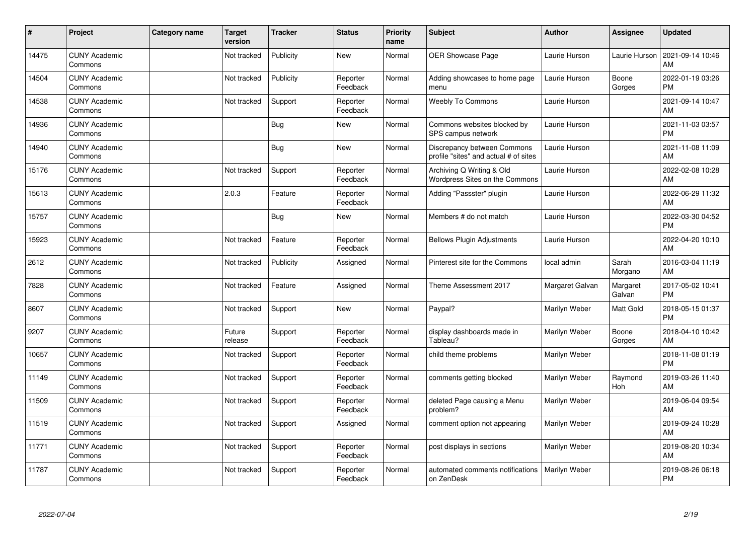| #     | Project                         | Category name | <b>Target</b><br>version | <b>Tracker</b> | <b>Status</b>        | <b>Priority</b><br>name | <b>Subject</b>                                                       | <b>Author</b>   | Assignee           | <b>Updated</b>                |
|-------|---------------------------------|---------------|--------------------------|----------------|----------------------|-------------------------|----------------------------------------------------------------------|-----------------|--------------------|-------------------------------|
| 14475 | <b>CUNY Academic</b><br>Commons |               | Not tracked              | Publicity      | <b>New</b>           | Normal                  | <b>OER Showcase Page</b>                                             | Laurie Hurson   | Laurie Hurson      | 2021-09-14 10:46<br>AM        |
| 14504 | <b>CUNY Academic</b><br>Commons |               | Not tracked              | Publicity      | Reporter<br>Feedback | Normal                  | Adding showcases to home page<br>menu                                | Laurie Hurson   | Boone<br>Gorges    | 2022-01-19 03:26<br><b>PM</b> |
| 14538 | <b>CUNY Academic</b><br>Commons |               | Not tracked              | Support        | Reporter<br>Feedback | Normal                  | Weebly To Commons                                                    | Laurie Hurson   |                    | 2021-09-14 10:47<br>AM        |
| 14936 | <b>CUNY Academic</b><br>Commons |               |                          | <b>Bug</b>     | <b>New</b>           | Normal                  | Commons websites blocked by<br>SPS campus network                    | Laurie Hurson   |                    | 2021-11-03 03:57<br><b>PM</b> |
| 14940 | <b>CUNY Academic</b><br>Commons |               |                          | Bug            | <b>New</b>           | Normal                  | Discrepancy between Commons<br>profile "sites" and actual # of sites | Laurie Hurson   |                    | 2021-11-08 11:09<br>AM        |
| 15176 | <b>CUNY Academic</b><br>Commons |               | Not tracked              | Support        | Reporter<br>Feedback | Normal                  | Archiving Q Writing & Old<br>Wordpress Sites on the Commons          | Laurie Hurson   |                    | 2022-02-08 10:28<br>AM        |
| 15613 | <b>CUNY Academic</b><br>Commons |               | 2.0.3                    | Feature        | Reporter<br>Feedback | Normal                  | Adding "Passster" plugin                                             | Laurie Hurson   |                    | 2022-06-29 11:32<br>AM        |
| 15757 | <b>CUNY Academic</b><br>Commons |               |                          | Bug            | <b>New</b>           | Normal                  | Members # do not match                                               | Laurie Hurson   |                    | 2022-03-30 04:52<br><b>PM</b> |
| 15923 | <b>CUNY Academic</b><br>Commons |               | Not tracked              | Feature        | Reporter<br>Feedback | Normal                  | <b>Bellows Plugin Adjustments</b>                                    | Laurie Hurson   |                    | 2022-04-20 10:10<br>AM        |
| 2612  | <b>CUNY Academic</b><br>Commons |               | Not tracked              | Publicity      | Assigned             | Normal                  | Pinterest site for the Commons                                       | local admin     | Sarah<br>Morgano   | 2016-03-04 11:19<br>AM        |
| 7828  | <b>CUNY Academic</b><br>Commons |               | Not tracked              | Feature        | Assigned             | Normal                  | Theme Assessment 2017                                                | Margaret Galvan | Margaret<br>Galvan | 2017-05-02 10:41<br><b>PM</b> |
| 8607  | <b>CUNY Academic</b><br>Commons |               | Not tracked              | Support        | <b>New</b>           | Normal                  | Paypal?                                                              | Marilyn Weber   | Matt Gold          | 2018-05-15 01:37<br><b>PM</b> |
| 9207  | <b>CUNY Academic</b><br>Commons |               | Future<br>release        | Support        | Reporter<br>Feedback | Normal                  | display dashboards made in<br>Tableau?                               | Marilyn Weber   | Boone<br>Gorges    | 2018-04-10 10:42<br>AM        |
| 10657 | <b>CUNY Academic</b><br>Commons |               | Not tracked              | Support        | Reporter<br>Feedback | Normal                  | child theme problems                                                 | Marilyn Weber   |                    | 2018-11-08 01:19<br><b>PM</b> |
| 11149 | <b>CUNY Academic</b><br>Commons |               | Not tracked              | Support        | Reporter<br>Feedback | Normal                  | comments getting blocked                                             | Marilyn Weber   | Raymond<br>Hoh     | 2019-03-26 11:40<br>AM        |
| 11509 | <b>CUNY Academic</b><br>Commons |               | Not tracked              | Support        | Reporter<br>Feedback | Normal                  | deleted Page causing a Menu<br>problem?                              | Marilyn Weber   |                    | 2019-06-04 09:54<br>AM        |
| 11519 | <b>CUNY Academic</b><br>Commons |               | Not tracked              | Support        | Assigned             | Normal                  | comment option not appearing                                         | Marilyn Weber   |                    | 2019-09-24 10:28<br>AM        |
| 11771 | <b>CUNY Academic</b><br>Commons |               | Not tracked              | Support        | Reporter<br>Feedback | Normal                  | post displays in sections                                            | Marilyn Weber   |                    | 2019-08-20 10:34<br>AM        |
| 11787 | <b>CUNY Academic</b><br>Commons |               | Not tracked              | Support        | Reporter<br>Feedback | Normal                  | automated comments notifications<br>on ZenDesk                       | Marilyn Weber   |                    | 2019-08-26 06:18<br><b>PM</b> |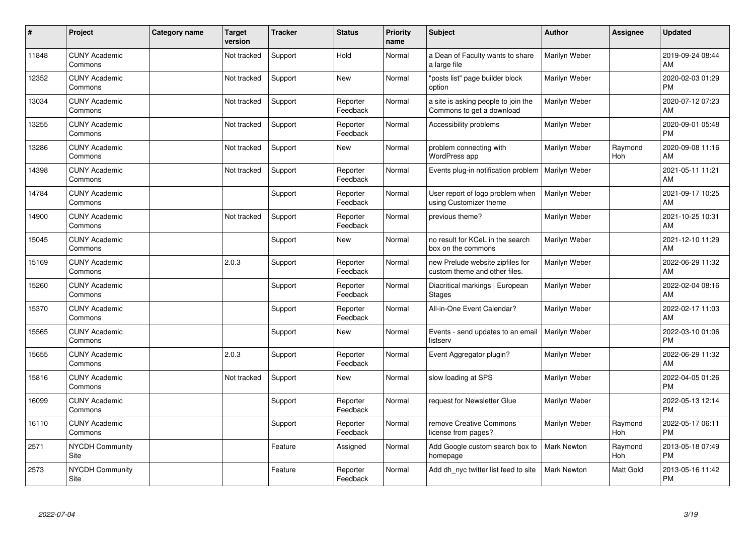| #     | Project                         | <b>Category name</b> | <b>Target</b><br>version | <b>Tracker</b> | <b>Status</b>        | <b>Priority</b><br>name | <b>Subject</b>                                                    | <b>Author</b>      | <b>Assignee</b> | <b>Updated</b>                |
|-------|---------------------------------|----------------------|--------------------------|----------------|----------------------|-------------------------|-------------------------------------------------------------------|--------------------|-----------------|-------------------------------|
| 11848 | <b>CUNY Academic</b><br>Commons |                      | Not tracked              | Support        | Hold                 | Normal                  | a Dean of Faculty wants to share<br>a large file                  | Marilyn Weber      |                 | 2019-09-24 08:44<br>AM        |
| 12352 | <b>CUNY Academic</b><br>Commons |                      | Not tracked              | Support        | <b>New</b>           | Normal                  | "posts list" page builder block<br>option                         | Marilyn Weber      |                 | 2020-02-03 01:29<br><b>PM</b> |
| 13034 | <b>CUNY Academic</b><br>Commons |                      | Not tracked              | Support        | Reporter<br>Feedback | Normal                  | a site is asking people to join the<br>Commons to get a download  | Marilyn Weber      |                 | 2020-07-12 07:23<br>AM        |
| 13255 | <b>CUNY Academic</b><br>Commons |                      | Not tracked              | Support        | Reporter<br>Feedback | Normal                  | Accessibility problems                                            | Marilyn Weber      |                 | 2020-09-01 05:48<br><b>PM</b> |
| 13286 | <b>CUNY Academic</b><br>Commons |                      | Not tracked              | Support        | New                  | Normal                  | problem connecting with<br><b>WordPress app</b>                   | Marilyn Weber      | Raymond<br>Hoh  | 2020-09-08 11:16<br><b>AM</b> |
| 14398 | <b>CUNY Academic</b><br>Commons |                      | Not tracked              | Support        | Reporter<br>Feedback | Normal                  | Events plug-in notification problem                               | Marilyn Weber      |                 | 2021-05-11 11:21<br>AM        |
| 14784 | <b>CUNY Academic</b><br>Commons |                      |                          | Support        | Reporter<br>Feedback | Normal                  | User report of logo problem when<br>using Customizer theme        | Marilyn Weber      |                 | 2021-09-17 10:25<br>AM        |
| 14900 | <b>CUNY Academic</b><br>Commons |                      | Not tracked              | Support        | Reporter<br>Feedback | Normal                  | previous theme?                                                   | Marilyn Weber      |                 | 2021-10-25 10:31<br>AM        |
| 15045 | <b>CUNY Academic</b><br>Commons |                      |                          | Support        | New                  | Normal                  | no result for KCeL in the search<br>box on the commons            | Marilyn Weber      |                 | 2021-12-10 11:29<br>AM        |
| 15169 | <b>CUNY Academic</b><br>Commons |                      | 2.0.3                    | Support        | Reporter<br>Feedback | Normal                  | new Prelude website zipfiles for<br>custom theme and other files. | Marilyn Weber      |                 | 2022-06-29 11:32<br>AM        |
| 15260 | <b>CUNY Academic</b><br>Commons |                      |                          | Support        | Reporter<br>Feedback | Normal                  | Diacritical markings   European<br>Stages                         | Marilyn Weber      |                 | 2022-02-04 08:16<br>AM        |
| 15370 | <b>CUNY Academic</b><br>Commons |                      |                          | Support        | Reporter<br>Feedback | Normal                  | All-in-One Event Calendar?                                        | Marilyn Weber      |                 | 2022-02-17 11:03<br>AM        |
| 15565 | <b>CUNY Academic</b><br>Commons |                      |                          | Support        | New                  | Normal                  | Events - send updates to an email<br>listserv                     | Marilyn Weber      |                 | 2022-03-10 01:06<br><b>PM</b> |
| 15655 | <b>CUNY Academic</b><br>Commons |                      | 2.0.3                    | Support        | Reporter<br>Feedback | Normal                  | Event Aggregator plugin?                                          | Marilyn Weber      |                 | 2022-06-29 11:32<br><b>AM</b> |
| 15816 | <b>CUNY Academic</b><br>Commons |                      | Not tracked              | Support        | New                  | Normal                  | slow loading at SPS                                               | Marilyn Weber      |                 | 2022-04-05 01:26<br><b>PM</b> |
| 16099 | <b>CUNY Academic</b><br>Commons |                      |                          | Support        | Reporter<br>Feedback | Normal                  | request for Newsletter Glue                                       | Marilyn Weber      |                 | 2022-05-13 12:14<br><b>PM</b> |
| 16110 | <b>CUNY Academic</b><br>Commons |                      |                          | Support        | Reporter<br>Feedback | Normal                  | remove Creative Commons<br>license from pages?                    | Marilyn Weber      | Raymond<br>Hoh  | 2022-05-17 06:11<br><b>PM</b> |
| 2571  | <b>NYCDH Community</b><br>Site  |                      |                          | Feature        | Assigned             | Normal                  | Add Google custom search box to<br>homepage                       | Mark Newton        | Raymond<br>Hoh  | 2013-05-18 07:49<br><b>PM</b> |
| 2573  | NYCDH Community<br>Site         |                      |                          | Feature        | Reporter<br>Feedback | Normal                  | Add dh_nyc twitter list feed to site                              | <b>Mark Newton</b> | Matt Gold       | 2013-05-16 11:42<br>PM        |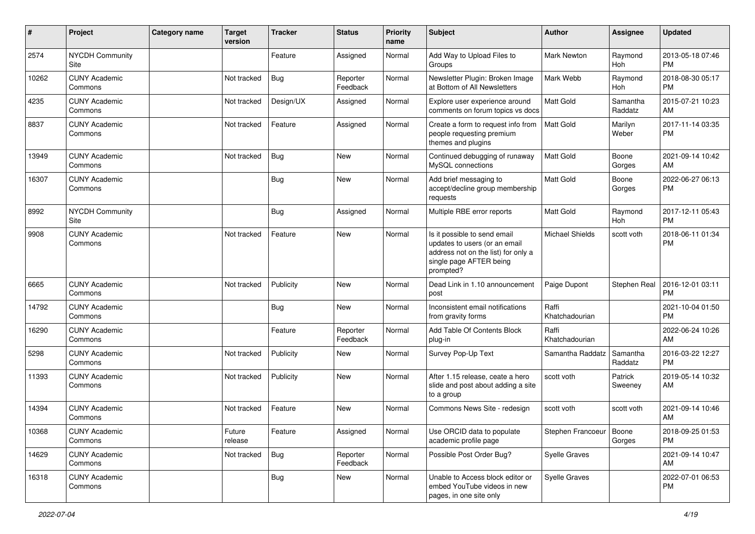| $\pmb{\#}$ | Project                         | <b>Category name</b> | <b>Target</b><br>version | <b>Tracker</b> | <b>Status</b>        | <b>Priority</b><br>name | Subject                                                                                                                                      | <b>Author</b>             | Assignee              | <b>Updated</b>                |
|------------|---------------------------------|----------------------|--------------------------|----------------|----------------------|-------------------------|----------------------------------------------------------------------------------------------------------------------------------------------|---------------------------|-----------------------|-------------------------------|
| 2574       | <b>NYCDH Community</b><br>Site  |                      |                          | Feature        | Assigned             | Normal                  | Add Way to Upload Files to<br>Groups                                                                                                         | <b>Mark Newton</b>        | Raymond<br>Hoh        | 2013-05-18 07:46<br><b>PM</b> |
| 10262      | <b>CUNY Academic</b><br>Commons |                      | Not tracked              | Bug            | Reporter<br>Feedback | Normal                  | Newsletter Plugin: Broken Image<br>at Bottom of All Newsletters                                                                              | Mark Webb                 | Raymond<br>Hoh        | 2018-08-30 05:17<br><b>PM</b> |
| 4235       | <b>CUNY Academic</b><br>Commons |                      | Not tracked              | Design/UX      | Assigned             | Normal                  | Explore user experience around<br>comments on forum topics vs docs                                                                           | Matt Gold                 | Samantha<br>Raddatz   | 2015-07-21 10:23<br>AM        |
| 8837       | <b>CUNY Academic</b><br>Commons |                      | Not tracked              | Feature        | Assigned             | Normal                  | Create a form to request info from<br>people requesting premium<br>themes and plugins                                                        | <b>Matt Gold</b>          | Marilyn<br>Weber      | 2017-11-14 03:35<br><b>PM</b> |
| 13949      | <b>CUNY Academic</b><br>Commons |                      | Not tracked              | Bug            | New                  | Normal                  | Continued debugging of runaway<br>MySQL connections                                                                                          | <b>Matt Gold</b>          | Boone<br>Gorges       | 2021-09-14 10:42<br>AM        |
| 16307      | <b>CUNY Academic</b><br>Commons |                      |                          | Bug            | New                  | Normal                  | Add brief messaging to<br>accept/decline group membership<br>requests                                                                        | Matt Gold                 | Boone<br>Gorges       | 2022-06-27 06:13<br><b>PM</b> |
| 8992       | NYCDH Community<br>Site         |                      |                          | <b>Bug</b>     | Assigned             | Normal                  | Multiple RBE error reports                                                                                                                   | Matt Gold                 | Raymond<br><b>Hoh</b> | 2017-12-11 05:43<br><b>PM</b> |
| 9908       | <b>CUNY Academic</b><br>Commons |                      | Not tracked              | Feature        | New                  | Normal                  | Is it possible to send email<br>updates to users (or an email<br>address not on the list) for only a<br>single page AFTER being<br>prompted? | <b>Michael Shields</b>    | scott voth            | 2018-06-11 01:34<br><b>PM</b> |
| 6665       | <b>CUNY Academic</b><br>Commons |                      | Not tracked              | Publicity      | New                  | Normal                  | Dead Link in 1.10 announcement<br>post                                                                                                       | Paige Dupont              | Stephen Real          | 2016-12-01 03:11<br><b>PM</b> |
| 14792      | <b>CUNY Academic</b><br>Commons |                      |                          | <b>Bug</b>     | <b>New</b>           | Normal                  | Inconsistent email notifications<br>from gravity forms                                                                                       | Raffi<br>Khatchadourian   |                       | 2021-10-04 01:50<br><b>PM</b> |
| 16290      | <b>CUNY Academic</b><br>Commons |                      |                          | Feature        | Reporter<br>Feedback | Normal                  | Add Table Of Contents Block<br>plug-in                                                                                                       | Raffi<br>Khatchadourian   |                       | 2022-06-24 10:26<br>AM        |
| 5298       | <b>CUNY Academic</b><br>Commons |                      | Not tracked              | Publicity      | New                  | Normal                  | Survey Pop-Up Text                                                                                                                           | Samantha Raddatz          | Samantha<br>Raddatz   | 2016-03-22 12:27<br><b>PM</b> |
| 11393      | <b>CUNY Academic</b><br>Commons |                      | Not tracked              | Publicity      | New                  | Normal                  | After 1.15 release, ceate a hero<br>slide and post about adding a site<br>to a group                                                         | scott voth                | Patrick<br>Sweeney    | 2019-05-14 10:32<br>AM        |
| 14394      | <b>CUNY Academic</b><br>Commons |                      | Not tracked              | Feature        | <b>New</b>           | Normal                  | Commons News Site - redesign                                                                                                                 | scott voth                | scott voth            | 2021-09-14 10:46<br>AM        |
| 10368      | <b>CUNY Academic</b><br>Commons |                      | Future<br>release        | Feature        | Assigned             | Normal                  | Use ORCID data to populate<br>academic profile page                                                                                          | Stephen Francoeur   Boone | Gorges                | 2018-09-25 01:53<br><b>PM</b> |
| 14629      | <b>CUNY Academic</b><br>Commons |                      | Not tracked              | Bug            | Reporter<br>Feedback | Normal                  | Possible Post Order Bug?                                                                                                                     | Syelle Graves             |                       | 2021-09-14 10:47<br>AM        |
| 16318      | <b>CUNY Academic</b><br>Commons |                      |                          | <b>Bug</b>     | New                  | Normal                  | Unable to Access block editor or<br>embed YouTube videos in new<br>pages, in one site only                                                   | Syelle Graves             |                       | 2022-07-01 06:53<br>PM        |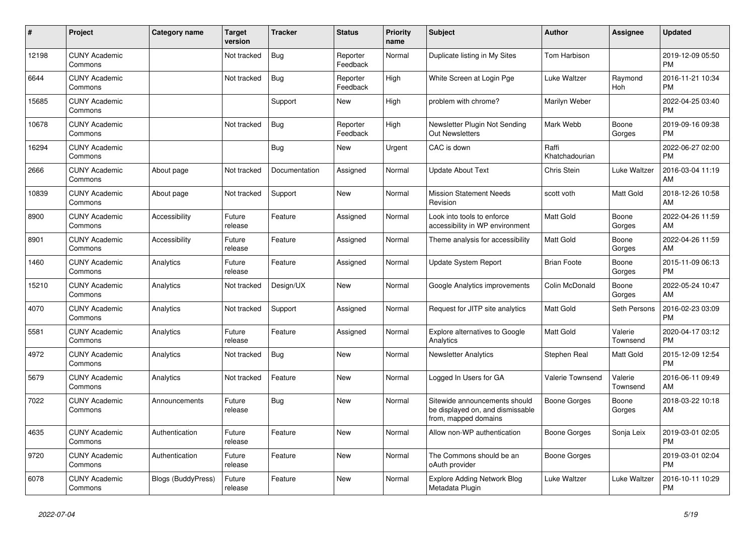| #     | Project                         | <b>Category name</b> | <b>Target</b><br>version | <b>Tracker</b> | <b>Status</b>        | <b>Priority</b><br>name | <b>Subject</b>                                                                            | <b>Author</b>           | <b>Assignee</b>     | <b>Updated</b>                |
|-------|---------------------------------|----------------------|--------------------------|----------------|----------------------|-------------------------|-------------------------------------------------------------------------------------------|-------------------------|---------------------|-------------------------------|
| 12198 | <b>CUNY Academic</b><br>Commons |                      | Not tracked              | <b>Bug</b>     | Reporter<br>Feedback | Normal                  | Duplicate listing in My Sites                                                             | Tom Harbison            |                     | 2019-12-09 05:50<br><b>PM</b> |
| 6644  | <b>CUNY Academic</b><br>Commons |                      | Not tracked              | <b>Bug</b>     | Reporter<br>Feedback | High                    | White Screen at Login Pge                                                                 | Luke Waltzer            | Raymond<br>Hoh      | 2016-11-21 10:34<br><b>PM</b> |
| 15685 | <b>CUNY Academic</b><br>Commons |                      |                          | Support        | New                  | High                    | problem with chrome?                                                                      | Marilyn Weber           |                     | 2022-04-25 03:40<br><b>PM</b> |
| 10678 | <b>CUNY Academic</b><br>Commons |                      | Not tracked              | Bug            | Reporter<br>Feedback | High                    | Newsletter Plugin Not Sending<br><b>Out Newsletters</b>                                   | Mark Webb               | Boone<br>Gorges     | 2019-09-16 09:38<br><b>PM</b> |
| 16294 | <b>CUNY Academic</b><br>Commons |                      |                          | Bug            | New                  | Urgent                  | CAC is down                                                                               | Raffi<br>Khatchadourian |                     | 2022-06-27 02:00<br><b>PM</b> |
| 2666  | <b>CUNY Academic</b><br>Commons | About page           | Not tracked              | Documentation  | Assigned             | Normal                  | <b>Update About Text</b>                                                                  | Chris Stein             | Luke Waltzer        | 2016-03-04 11:19<br>AM        |
| 10839 | <b>CUNY Academic</b><br>Commons | About page           | Not tracked              | Support        | <b>New</b>           | Normal                  | <b>Mission Statement Needs</b><br>Revision                                                | scott voth              | Matt Gold           | 2018-12-26 10:58<br>AM        |
| 8900  | <b>CUNY Academic</b><br>Commons | Accessibility        | Future<br>release        | Feature        | Assigned             | Normal                  | Look into tools to enforce<br>accessibility in WP environment                             | <b>Matt Gold</b>        | Boone<br>Gorges     | 2022-04-26 11:59<br>AM        |
| 8901  | <b>CUNY Academic</b><br>Commons | Accessibility        | Future<br>release        | Feature        | Assigned             | Normal                  | Theme analysis for accessibility                                                          | <b>Matt Gold</b>        | Boone<br>Gorges     | 2022-04-26 11:59<br>AM        |
| 1460  | <b>CUNY Academic</b><br>Commons | Analytics            | Future<br>release        | Feature        | Assigned             | Normal                  | <b>Update System Report</b>                                                               | <b>Brian Foote</b>      | Boone<br>Gorges     | 2015-11-09 06:13<br><b>PM</b> |
| 15210 | <b>CUNY Academic</b><br>Commons | Analytics            | Not tracked              | Design/UX      | New                  | Normal                  | Google Analytics improvements                                                             | Colin McDonald          | Boone<br>Gorges     | 2022-05-24 10:47<br>AM        |
| 4070  | <b>CUNY Academic</b><br>Commons | Analytics            | Not tracked              | Support        | Assigned             | Normal                  | Request for JITP site analytics                                                           | <b>Matt Gold</b>        | Seth Persons        | 2016-02-23 03:09<br><b>PM</b> |
| 5581  | <b>CUNY Academic</b><br>Commons | Analytics            | Future<br>release        | Feature        | Assigned             | Normal                  | <b>Explore alternatives to Google</b><br>Analytics                                        | <b>Matt Gold</b>        | Valerie<br>Townsend | 2020-04-17 03:12<br><b>PM</b> |
| 4972  | <b>CUNY Academic</b><br>Commons | Analytics            | Not tracked              | Bug            | <b>New</b>           | Normal                  | <b>Newsletter Analytics</b>                                                               | Stephen Real            | Matt Gold           | 2015-12-09 12:54<br><b>PM</b> |
| 5679  | <b>CUNY Academic</b><br>Commons | Analytics            | Not tracked              | Feature        | New                  | Normal                  | Logged In Users for GA                                                                    | Valerie Townsend        | Valerie<br>Townsend | 2016-06-11 09:49<br>AM        |
| 7022  | <b>CUNY Academic</b><br>Commons | Announcements        | Future<br>release        | Bug            | New                  | Normal                  | Sitewide announcements should<br>be displayed on, and dismissable<br>from, mapped domains | Boone Gorges            | Boone<br>Gorges     | 2018-03-22 10:18<br>AM        |
| 4635  | <b>CUNY Academic</b><br>Commons | Authentication       | Future<br>release        | Feature        | <b>New</b>           | Normal                  | Allow non-WP authentication                                                               | Boone Gorges            | Sonja Leix          | 2019-03-01 02:05<br><b>PM</b> |
| 9720  | <b>CUNY Academic</b><br>Commons | Authentication       | Future<br>release        | Feature        | New                  | Normal                  | The Commons should be an<br>oAuth provider                                                | Boone Gorges            |                     | 2019-03-01 02:04<br><b>PM</b> |
| 6078  | <b>CUNY Academic</b><br>Commons | Blogs (BuddyPress)   | Future<br>release        | Feature        | <b>New</b>           | Normal                  | <b>Explore Adding Network Blog</b><br>Metadata Plugin                                     | Luke Waltzer            | Luke Waltzer        | 2016-10-11 10:29<br><b>PM</b> |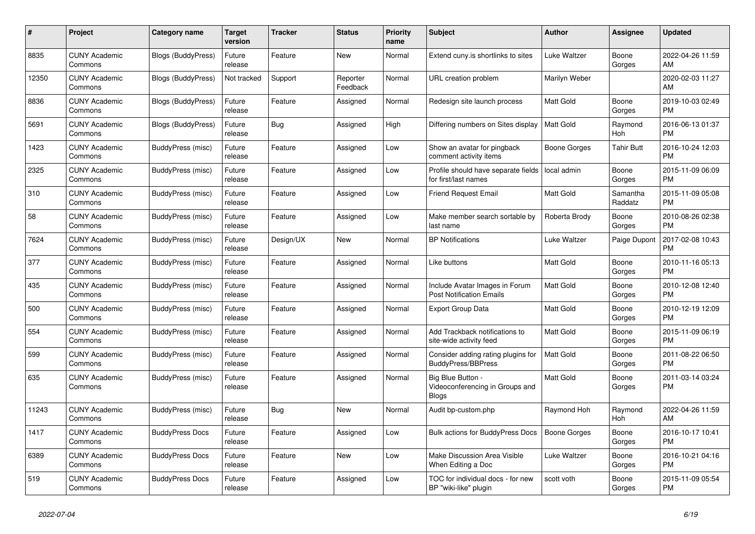| #     | Project                         | <b>Category name</b>      | Target<br>version | <b>Tracker</b> | <b>Status</b>        | <b>Priority</b><br>name | <b>Subject</b>                                                       | <b>Author</b>       | Assignee            | <b>Updated</b>                |
|-------|---------------------------------|---------------------------|-------------------|----------------|----------------------|-------------------------|----------------------------------------------------------------------|---------------------|---------------------|-------------------------------|
| 8835  | <b>CUNY Academic</b><br>Commons | <b>Blogs (BuddyPress)</b> | Future<br>release | Feature        | New                  | Normal                  | Extend cuny.is shortlinks to sites                                   | Luke Waltzer        | Boone<br>Gorges     | 2022-04-26 11:59<br>AM        |
| 12350 | <b>CUNY Academic</b><br>Commons | Blogs (BuddyPress)        | Not tracked       | Support        | Reporter<br>Feedback | Normal                  | URL creation problem                                                 | Marilyn Weber       |                     | 2020-02-03 11:27<br>AM        |
| 8836  | <b>CUNY Academic</b><br>Commons | Blogs (BuddyPress)        | Future<br>release | Feature        | Assigned             | Normal                  | Redesign site launch process                                         | Matt Gold           | Boone<br>Gorges     | 2019-10-03 02:49<br><b>PM</b> |
| 5691  | <b>CUNY Academic</b><br>Commons | Blogs (BuddyPress)        | Future<br>release | Bug            | Assigned             | High                    | Differing numbers on Sites display                                   | <b>Matt Gold</b>    | Raymond<br>Hoh      | 2016-06-13 01:37<br><b>PM</b> |
| 1423  | <b>CUNY Academic</b><br>Commons | BuddyPress (misc)         | Future<br>release | Feature        | Assigned             | Low                     | Show an avatar for pingback<br>comment activity items                | Boone Gorges        | <b>Tahir Butt</b>   | 2016-10-24 12:03<br><b>PM</b> |
| 2325  | <b>CUNY Academic</b><br>Commons | BuddyPress (misc)         | Future<br>release | Feature        | Assigned             | Low                     | Profile should have separate fields<br>for first/last names          | local admin         | Boone<br>Gorges     | 2015-11-09 06:09<br><b>PM</b> |
| 310   | <b>CUNY Academic</b><br>Commons | BuddyPress (misc)         | Future<br>release | Feature        | Assigned             | Low                     | <b>Friend Request Email</b>                                          | Matt Gold           | Samantha<br>Raddatz | 2015-11-09 05:08<br><b>PM</b> |
| 58    | <b>CUNY Academic</b><br>Commons | BuddyPress (misc)         | Future<br>release | Feature        | Assigned             | Low                     | Make member search sortable by<br>last name                          | Roberta Brody       | Boone<br>Gorges     | 2010-08-26 02:38<br><b>PM</b> |
| 7624  | <b>CUNY Academic</b><br>Commons | BuddyPress (misc)         | Future<br>release | Design/UX      | <b>New</b>           | Normal                  | <b>BP Notifications</b>                                              | Luke Waltzer        | Paige Dupont        | 2017-02-08 10:43<br><b>PM</b> |
| 377   | <b>CUNY Academic</b><br>Commons | BuddyPress (misc)         | Future<br>release | Feature        | Assigned             | Normal                  | Like buttons                                                         | Matt Gold           | Boone<br>Gorges     | 2010-11-16 05:13<br><b>PM</b> |
| 435   | <b>CUNY Academic</b><br>Commons | BuddyPress (misc)         | Future<br>release | Feature        | Assigned             | Normal                  | Include Avatar Images in Forum<br><b>Post Notification Emails</b>    | Matt Gold           | Boone<br>Gorges     | 2010-12-08 12:40<br><b>PM</b> |
| 500   | <b>CUNY Academic</b><br>Commons | BuddyPress (misc)         | Future<br>release | Feature        | Assigned             | Normal                  | <b>Export Group Data</b>                                             | <b>Matt Gold</b>    | Boone<br>Gorges     | 2010-12-19 12:09<br><b>PM</b> |
| 554   | <b>CUNY Academic</b><br>Commons | BuddyPress (misc)         | Future<br>release | Feature        | Assigned             | Normal                  | Add Trackback notifications to<br>site-wide activity feed            | Matt Gold           | Boone<br>Gorges     | 2015-11-09 06:19<br><b>PM</b> |
| 599   | <b>CUNY Academic</b><br>Commons | BuddyPress (misc)         | Future<br>release | Feature        | Assigned             | Normal                  | Consider adding rating plugins for<br><b>BuddyPress/BBPress</b>      | <b>Matt Gold</b>    | Boone<br>Gorges     | 2011-08-22 06:50<br><b>PM</b> |
| 635   | <b>CUNY Academic</b><br>Commons | BuddyPress (misc)         | Future<br>release | Feature        | Assigned             | Normal                  | Big Blue Button -<br>Videoconferencing in Groups and<br><b>Blogs</b> | <b>Matt Gold</b>    | Boone<br>Gorges     | 2011-03-14 03:24<br><b>PM</b> |
| 11243 | <b>CUNY Academic</b><br>Commons | BuddyPress (misc)         | Future<br>release | Bug            | <b>New</b>           | Normal                  | Audit bp-custom.php                                                  | Raymond Hoh         | Raymond<br>Hoh      | 2022-04-26 11:59<br>AM        |
| 1417  | <b>CUNY Academic</b><br>Commons | <b>BuddyPress Docs</b>    | Future<br>release | Feature        | Assigned             | Low                     | <b>Bulk actions for BuddyPress Docs</b>                              | <b>Boone Gorges</b> | Boone<br>Gorges     | 2016-10-17 10:41<br><b>PM</b> |
| 6389  | <b>CUNY Academic</b><br>Commons | <b>BuddyPress Docs</b>    | Future<br>release | Feature        | New                  | Low                     | Make Discussion Area Visible<br>When Editing a Doc                   | Luke Waltzer        | Boone<br>Gorges     | 2016-10-21 04:16<br><b>PM</b> |
| 519   | <b>CUNY Academic</b><br>Commons | <b>BuddyPress Docs</b>    | Future<br>release | Feature        | Assigned             | Low                     | TOC for individual docs - for new<br>BP "wiki-like" plugin           | scott voth          | Boone<br>Gorges     | 2015-11-09 05:54<br><b>PM</b> |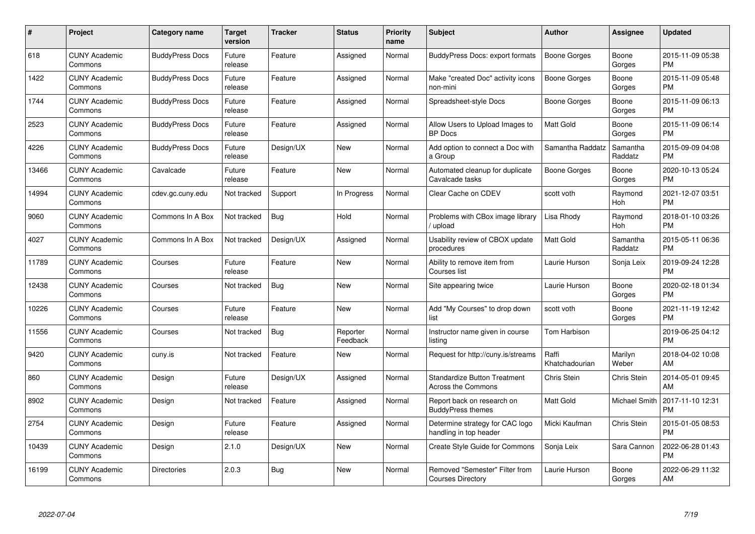| $\#$  | Project                         | <b>Category name</b>   | Target<br>version | <b>Tracker</b> | <b>Status</b>        | Priority<br>name | <b>Subject</b>                                                   | <b>Author</b>           | <b>Assignee</b>     | <b>Updated</b>                |
|-------|---------------------------------|------------------------|-------------------|----------------|----------------------|------------------|------------------------------------------------------------------|-------------------------|---------------------|-------------------------------|
| 618   | <b>CUNY Academic</b><br>Commons | <b>BuddyPress Docs</b> | Future<br>release | Feature        | Assigned             | Normal           | <b>BuddyPress Docs: export formats</b>                           | <b>Boone Gorges</b>     | Boone<br>Gorges     | 2015-11-09 05:38<br><b>PM</b> |
| 1422  | <b>CUNY Academic</b><br>Commons | <b>BuddyPress Docs</b> | Future<br>release | Feature        | Assigned             | Normal           | Make "created Doc" activity icons<br>non-mini                    | <b>Boone Gorges</b>     | Boone<br>Gorges     | 2015-11-09 05:48<br><b>PM</b> |
| 1744  | <b>CUNY Academic</b><br>Commons | <b>BuddyPress Docs</b> | Future<br>release | Feature        | Assigned             | Normal           | Spreadsheet-style Docs                                           | Boone Gorges            | Boone<br>Gorges     | 2015-11-09 06:13<br><b>PM</b> |
| 2523  | <b>CUNY Academic</b><br>Commons | <b>BuddyPress Docs</b> | Future<br>release | Feature        | Assigned             | Normal           | Allow Users to Upload Images to<br><b>BP</b> Docs                | Matt Gold               | Boone<br>Gorges     | 2015-11-09 06:14<br><b>PM</b> |
| 4226  | <b>CUNY Academic</b><br>Commons | <b>BuddyPress Docs</b> | Future<br>release | Design/UX      | <b>New</b>           | Normal           | Add option to connect a Doc with<br>a Group                      | Samantha Raddatz        | Samantha<br>Raddatz | 2015-09-09 04:08<br><b>PM</b> |
| 13466 | <b>CUNY Academic</b><br>Commons | Cavalcade              | Future<br>release | Feature        | <b>New</b>           | Normal           | Automated cleanup for duplicate<br>Cavalcade tasks               | Boone Gorges            | Boone<br>Gorges     | 2020-10-13 05:24<br><b>PM</b> |
| 14994 | <b>CUNY Academic</b><br>Commons | cdev.gc.cuny.edu       | Not tracked       | Support        | In Progress          | Normal           | Clear Cache on CDEV                                              | scott voth              | Raymond<br>Hoh      | 2021-12-07 03:51<br><b>PM</b> |
| 9060  | <b>CUNY Academic</b><br>Commons | Commons In A Box       | Not tracked       | Bug            | Hold                 | Normal           | Problems with CBox image library<br>/ upload                     | Lisa Rhody              | Raymond<br>Hoh      | 2018-01-10 03:26<br><b>PM</b> |
| 4027  | <b>CUNY Academic</b><br>Commons | Commons In A Box       | Not tracked       | Design/UX      | Assigned             | Normal           | Usability review of CBOX update<br>procedures                    | Matt Gold               | Samantha<br>Raddatz | 2015-05-11 06:36<br><b>PM</b> |
| 11789 | <b>CUNY Academic</b><br>Commons | Courses                | Future<br>release | Feature        | <b>New</b>           | Normal           | Ability to remove item from<br>Courses list                      | Laurie Hurson           | Sonja Leix          | 2019-09-24 12:28<br><b>PM</b> |
| 12438 | <b>CUNY Academic</b><br>Commons | Courses                | Not tracked       | <b>Bug</b>     | <b>New</b>           | Normal           | Site appearing twice                                             | Laurie Hurson           | Boone<br>Gorges     | 2020-02-18 01:34<br><b>PM</b> |
| 10226 | <b>CUNY Academic</b><br>Commons | Courses                | Future<br>release | Feature        | <b>New</b>           | Normal           | Add "My Courses" to drop down<br>list                            | scott voth              | Boone<br>Gorges     | 2021-11-19 12:42<br><b>PM</b> |
| 11556 | <b>CUNY Academic</b><br>Commons | Courses                | Not tracked       | Bug            | Reporter<br>Feedback | Normal           | Instructor name given in course<br>listina                       | Tom Harbison            |                     | 2019-06-25 04:12<br><b>PM</b> |
| 9420  | <b>CUNY Academic</b><br>Commons | cuny.is                | Not tracked       | Feature        | New                  | Normal           | Request for http://cuny.is/streams                               | Raffi<br>Khatchadourian | Marilyn<br>Weber    | 2018-04-02 10:08<br>AM        |
| 860   | <b>CUNY Academic</b><br>Commons | Design                 | Future<br>release | Design/UX      | Assigned             | Normal           | <b>Standardize Button Treatment</b><br><b>Across the Commons</b> | Chris Stein             | Chris Stein         | 2014-05-01 09:45<br>AM        |
| 8902  | <b>CUNY Academic</b><br>Commons | Design                 | Not tracked       | Feature        | Assigned             | Normal           | Report back on research on<br><b>BuddyPress themes</b>           | Matt Gold               | Michael Smith       | 2017-11-10 12:31<br><b>PM</b> |
| 2754  | <b>CUNY Academic</b><br>Commons | Design                 | Future<br>release | Feature        | Assigned             | Normal           | Determine strategy for CAC logo<br>handling in top header        | Micki Kaufman           | Chris Stein         | 2015-01-05 08:53<br><b>PM</b> |
| 10439 | <b>CUNY Academic</b><br>Commons | Design                 | 2.1.0             | Design/UX      | <b>New</b>           | Normal           | Create Style Guide for Commons                                   | Sonja Leix              | Sara Cannon         | 2022-06-28 01:43<br><b>PM</b> |
| 16199 | <b>CUNY Academic</b><br>Commons | <b>Directories</b>     | 2.0.3             | <b>Bug</b>     | New                  | Normal           | Removed "Semester" Filter from<br><b>Courses Directory</b>       | Laurie Hurson           | Boone<br>Gorges     | 2022-06-29 11:32<br>AM        |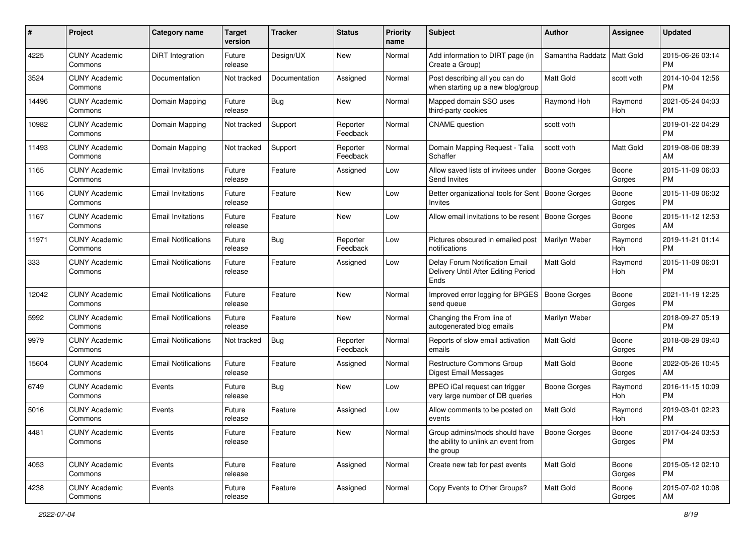| #     | Project                         | <b>Category name</b>       | <b>Target</b><br>version | <b>Tracker</b> | <b>Status</b>        | Priority<br>name | <b>Subject</b>                                                                    | Author              | <b>Assignee</b>  | <b>Updated</b>                |
|-------|---------------------------------|----------------------------|--------------------------|----------------|----------------------|------------------|-----------------------------------------------------------------------------------|---------------------|------------------|-------------------------------|
| 4225  | <b>CUNY Academic</b><br>Commons | DiRT Integration           | Future<br>release        | Design/UX      | New                  | Normal           | Add information to DIRT page (in<br>Create a Group)                               | Samantha Raddatz    | <b>Matt Gold</b> | 2015-06-26 03:14<br>PM.       |
| 3524  | <b>CUNY Academic</b><br>Commons | Documentation              | Not tracked              | Documentation  | Assigned             | Normal           | Post describing all you can do<br>when starting up a new blog/group               | Matt Gold           | scott voth       | 2014-10-04 12:56<br><b>PM</b> |
| 14496 | <b>CUNY Academic</b><br>Commons | Domain Mapping             | Future<br>release        | Bug            | New                  | Normal           | Mapped domain SSO uses<br>third-party cookies                                     | Raymond Hoh         | Raymond<br>Hoh   | 2021-05-24 04:03<br><b>PM</b> |
| 10982 | <b>CUNY Academic</b><br>Commons | Domain Mapping             | Not tracked              | Support        | Reporter<br>Feedback | Normal           | <b>CNAME</b> question                                                             | scott voth          |                  | 2019-01-22 04:29<br><b>PM</b> |
| 11493 | <b>CUNY Academic</b><br>Commons | Domain Mapping             | Not tracked              | Support        | Reporter<br>Feedback | Normal           | Domain Mapping Request - Talia<br>Schaffer                                        | scott voth          | Matt Gold        | 2019-08-06 08:39<br>AM        |
| 1165  | <b>CUNY Academic</b><br>Commons | <b>Email Invitations</b>   | Future<br>release        | Feature        | Assigned             | Low              | Allow saved lists of invitees under<br>Send Invites                               | <b>Boone Gorges</b> | Boone<br>Gorges  | 2015-11-09 06:03<br><b>PM</b> |
| 1166  | <b>CUNY Academic</b><br>Commons | <b>Email Invitations</b>   | Future<br>release        | Feature        | New                  | Low              | Better organizational tools for Sent<br>Invites                                   | Boone Gorges        | Boone<br>Gorges  | 2015-11-09 06:02<br><b>PM</b> |
| 1167  | <b>CUNY Academic</b><br>Commons | <b>Email Invitations</b>   | Future<br>release        | Feature        | New                  | Low              | Allow email invitations to be resent                                              | Boone Gorges        | Boone<br>Gorges  | 2015-11-12 12:53<br>AM.       |
| 11971 | <b>CUNY Academic</b><br>Commons | <b>Email Notifications</b> | Future<br>release        | Bug            | Reporter<br>Feedback | Low              | Pictures obscured in emailed post<br>notifications                                | Marilyn Weber       | Raymond<br>Hoh   | 2019-11-21 01:14<br><b>PM</b> |
| 333   | <b>CUNY Academic</b><br>Commons | <b>Email Notifications</b> | Future<br>release        | Feature        | Assigned             | Low              | Delay Forum Notification Email<br>Delivery Until After Editing Period<br>Ends     | <b>Matt Gold</b>    | Raymond<br>Hoh   | 2015-11-09 06:01<br><b>PM</b> |
| 12042 | <b>CUNY Academic</b><br>Commons | <b>Email Notifications</b> | Future<br>release        | Feature        | New                  | Normal           | Improved error logging for BPGES<br>send queue                                    | <b>Boone Gorges</b> | Boone<br>Gorges  | 2021-11-19 12:25<br>PM.       |
| 5992  | <b>CUNY Academic</b><br>Commons | <b>Email Notifications</b> | Future<br>release        | Feature        | New                  | Normal           | Changing the From line of<br>autogenerated blog emails                            | Marilyn Weber       |                  | 2018-09-27 05:19<br><b>PM</b> |
| 9979  | <b>CUNY Academic</b><br>Commons | <b>Email Notifications</b> | Not tracked              | Bug            | Reporter<br>Feedback | Normal           | Reports of slow email activation<br>emails                                        | <b>Matt Gold</b>    | Boone<br>Gorges  | 2018-08-29 09:40<br><b>PM</b> |
| 15604 | <b>CUNY Academic</b><br>Commons | <b>Email Notifications</b> | Future<br>release        | Feature        | Assigned             | Normal           | Restructure Commons Group<br>Digest Email Messages                                | <b>Matt Gold</b>    | Boone<br>Gorges  | 2022-05-26 10:45<br>AM        |
| 6749  | <b>CUNY Academic</b><br>Commons | Events                     | Future<br>release        | Bug            | New                  | Low              | BPEO iCal request can trigger<br>very large number of DB queries                  | Boone Gorges        | Raymond<br>Hoh   | 2016-11-15 10:09<br><b>PM</b> |
| 5016  | <b>CUNY Academic</b><br>Commons | Events                     | Future<br>release        | Feature        | Assigned             | Low              | Allow comments to be posted on<br>events                                          | <b>Matt Gold</b>    | Raymond<br>Hoh   | 2019-03-01 02:23<br><b>PM</b> |
| 4481  | <b>CUNY Academic</b><br>Commons | Events                     | Future<br>release        | Feature        | New                  | Normal           | Group admins/mods should have<br>the ability to unlink an event from<br>the group | <b>Boone Gorges</b> | Boone<br>Gorges  | 2017-04-24 03:53<br><b>PM</b> |
| 4053  | <b>CUNY Academic</b><br>Commons | Events                     | Future<br>release        | Feature        | Assigned             | Normal           | Create new tab for past events                                                    | Matt Gold           | Boone<br>Gorges  | 2015-05-12 02:10<br><b>PM</b> |
| 4238  | <b>CUNY Academic</b><br>Commons | Events                     | Future<br>release        | Feature        | Assigned             | Normal           | Copy Events to Other Groups?                                                      | Matt Gold           | Boone<br>Gorges  | 2015-07-02 10:08<br>AM        |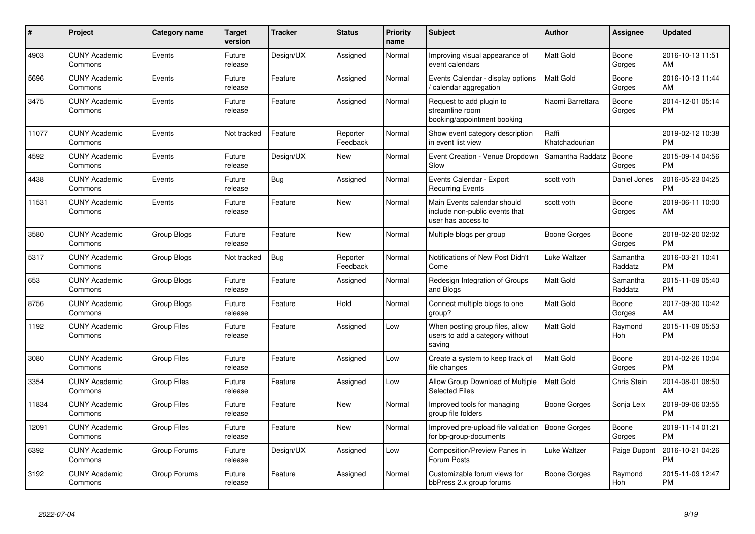| #     | Project                         | <b>Category name</b> | <b>Target</b><br>version | <b>Tracker</b> | <b>Status</b>        | <b>Priority</b><br>name | <b>Subject</b>                                                                      | <b>Author</b>           | <b>Assignee</b>       | <b>Updated</b>                |
|-------|---------------------------------|----------------------|--------------------------|----------------|----------------------|-------------------------|-------------------------------------------------------------------------------------|-------------------------|-----------------------|-------------------------------|
| 4903  | <b>CUNY Academic</b><br>Commons | Events               | Future<br>release        | Design/UX      | Assigned             | Normal                  | Improving visual appearance of<br>event calendars                                   | Matt Gold               | Boone<br>Gorges       | 2016-10-13 11:51<br>AM        |
| 5696  | <b>CUNY Academic</b><br>Commons | Events               | Future<br>release        | Feature        | Assigned             | Normal                  | Events Calendar - display options<br>/ calendar aggregation                         | Matt Gold               | Boone<br>Gorges       | 2016-10-13 11:44<br>AM        |
| 3475  | <b>CUNY Academic</b><br>Commons | Events               | Future<br>release        | Feature        | Assigned             | Normal                  | Request to add plugin to<br>streamline room<br>booking/appointment booking          | Naomi Barrettara        | Boone<br>Gorges       | 2014-12-01 05:14<br><b>PM</b> |
| 11077 | <b>CUNY Academic</b><br>Commons | Events               | Not tracked              | Feature        | Reporter<br>Feedback | Normal                  | Show event category description<br>in event list view                               | Raffi<br>Khatchadourian |                       | 2019-02-12 10:38<br><b>PM</b> |
| 4592  | <b>CUNY Academic</b><br>Commons | Events               | Future<br>release        | Design/UX      | New                  | Normal                  | Event Creation - Venue Dropdown<br>Slow                                             | Samantha Raddatz        | Boone<br>Gorges       | 2015-09-14 04:56<br><b>PM</b> |
| 4438  | <b>CUNY Academic</b><br>Commons | Events               | Future<br>release        | <b>Bug</b>     | Assigned             | Normal                  | Events Calendar - Export<br><b>Recurring Events</b>                                 | scott voth              | Daniel Jones          | 2016-05-23 04:25<br><b>PM</b> |
| 11531 | <b>CUNY Academic</b><br>Commons | Events               | Future<br>release        | Feature        | <b>New</b>           | Normal                  | Main Events calendar should<br>include non-public events that<br>user has access to | scott voth              | Boone<br>Gorges       | 2019-06-11 10:00<br>AM        |
| 3580  | <b>CUNY Academic</b><br>Commons | Group Blogs          | Future<br>release        | Feature        | New                  | Normal                  | Multiple blogs per group                                                            | Boone Gorges            | Boone<br>Gorges       | 2018-02-20 02:02<br>PM        |
| 5317  | <b>CUNY Academic</b><br>Commons | Group Blogs          | Not tracked              | <b>Bug</b>     | Reporter<br>Feedback | Normal                  | Notifications of New Post Didn't<br>Come                                            | Luke Waltzer            | Samantha<br>Raddatz   | 2016-03-21 10:41<br><b>PM</b> |
| 653   | <b>CUNY Academic</b><br>Commons | Group Blogs          | Future<br>release        | Feature        | Assigned             | Normal                  | Redesign Integration of Groups<br>and Blogs                                         | Matt Gold               | Samantha<br>Raddatz   | 2015-11-09 05:40<br><b>PM</b> |
| 8756  | <b>CUNY Academic</b><br>Commons | Group Blogs          | Future<br>release        | Feature        | Hold                 | Normal                  | Connect multiple blogs to one<br>group?                                             | <b>Matt Gold</b>        | Boone<br>Gorges       | 2017-09-30 10:42<br>AM        |
| 1192  | <b>CUNY Academic</b><br>Commons | <b>Group Files</b>   | Future<br>release        | Feature        | Assigned             | Low                     | When posting group files, allow<br>users to add a category without<br>saving        | Matt Gold               | Raymond<br>Hoh        | 2015-11-09 05:53<br><b>PM</b> |
| 3080  | <b>CUNY Academic</b><br>Commons | <b>Group Files</b>   | Future<br>release        | Feature        | Assigned             | Low                     | Create a system to keep track of<br>file changes                                    | <b>Matt Gold</b>        | Boone<br>Gorges       | 2014-02-26 10:04<br><b>PM</b> |
| 3354  | <b>CUNY Academic</b><br>Commons | <b>Group Files</b>   | Future<br>release        | Feature        | Assigned             | Low                     | Allow Group Download of Multiple<br><b>Selected Files</b>                           | Matt Gold               | Chris Stein           | 2014-08-01 08:50<br>AM        |
| 11834 | <b>CUNY Academic</b><br>Commons | <b>Group Files</b>   | Future<br>release        | Feature        | New                  | Normal                  | Improved tools for managing<br>group file folders                                   | Boone Gorges            | Sonja Leix            | 2019-09-06 03:55<br>PM        |
| 12091 | <b>CUNY Academic</b><br>Commons | <b>Group Files</b>   | Future<br>release        | Feature        | <b>New</b>           | Normal                  | Improved pre-upload file validation<br>for bp-group-documents                       | <b>Boone Gorges</b>     | Boone<br>Gorges       | 2019-11-14 01:21<br><b>PM</b> |
| 6392  | <b>CUNY Academic</b><br>Commons | Group Forums         | Future<br>release        | Design/UX      | Assigned             | Low                     | Composition/Preview Panes in<br>Forum Posts                                         | Luke Waltzer            | Paige Dupont          | 2016-10-21 04:26<br><b>PM</b> |
| 3192  | <b>CUNY Academic</b><br>Commons | Group Forums         | Future<br>release        | Feature        | Assigned             | Normal                  | Customizable forum views for<br>bbPress 2.x group forums                            | Boone Gorges            | Raymond<br><b>Hoh</b> | 2015-11-09 12:47<br><b>PM</b> |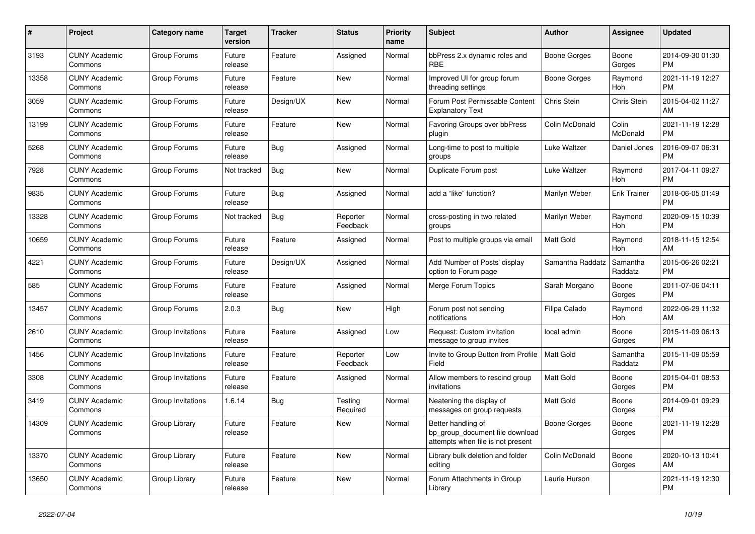| #     | Project                         | Category name     | <b>Target</b><br>version | Tracker    | <b>Status</b>        | <b>Priority</b><br>name | <b>Subject</b>                                                                             | <b>Author</b>    | Assignee            | <b>Updated</b>                |
|-------|---------------------------------|-------------------|--------------------------|------------|----------------------|-------------------------|--------------------------------------------------------------------------------------------|------------------|---------------------|-------------------------------|
| 3193  | <b>CUNY Academic</b><br>Commons | Group Forums      | Future<br>release        | Feature    | Assigned             | Normal                  | bbPress 2.x dynamic roles and<br><b>RBE</b>                                                | Boone Gorges     | Boone<br>Gorges     | 2014-09-30 01:30<br><b>PM</b> |
| 13358 | <b>CUNY Academic</b><br>Commons | Group Forums      | Future<br>release        | Feature    | New                  | Normal                  | Improved UI for group forum<br>threading settings                                          | Boone Gorges     | Raymond<br>Hoh      | 2021-11-19 12:27<br><b>PM</b> |
| 3059  | <b>CUNY Academic</b><br>Commons | Group Forums      | Future<br>release        | Design/UX  | New                  | Normal                  | Forum Post Permissable Content<br><b>Explanatory Text</b>                                  | Chris Stein      | Chris Stein         | 2015-04-02 11:27<br>AM        |
| 13199 | <b>CUNY Academic</b><br>Commons | Group Forums      | Future<br>release        | Feature    | <b>New</b>           | Normal                  | Favoring Groups over bbPress<br>plugin                                                     | Colin McDonald   | Colin<br>McDonald   | 2021-11-19 12:28<br><b>PM</b> |
| 5268  | <b>CUNY Academic</b><br>Commons | Group Forums      | Future<br>release        | <b>Bug</b> | Assigned             | Normal                  | Long-time to post to multiple<br>groups                                                    | Luke Waltzer     | Daniel Jones        | 2016-09-07 06:31<br><b>PM</b> |
| 7928  | <b>CUNY Academic</b><br>Commons | Group Forums      | Not tracked              | Bug        | New                  | Normal                  | Duplicate Forum post                                                                       | Luke Waltzer     | Raymond<br>Hoh      | 2017-04-11 09:27<br><b>PM</b> |
| 9835  | <b>CUNY Academic</b><br>Commons | Group Forums      | Future<br>release        | <b>Bug</b> | Assigned             | Normal                  | add a "like" function?                                                                     | Marilyn Weber    | <b>Erik Trainer</b> | 2018-06-05 01:49<br><b>PM</b> |
| 13328 | <b>CUNY Academic</b><br>Commons | Group Forums      | Not tracked              | <b>Bug</b> | Reporter<br>Feedback | Normal                  | cross-posting in two related<br>groups                                                     | Marilyn Weber    | Raymond<br>Hoh      | 2020-09-15 10:39<br><b>PM</b> |
| 10659 | <b>CUNY Academic</b><br>Commons | Group Forums      | Future<br>release        | Feature    | Assigned             | Normal                  | Post to multiple groups via email                                                          | <b>Matt Gold</b> | Raymond<br>Hoh      | 2018-11-15 12:54<br>AM        |
| 4221  | <b>CUNY Academic</b><br>Commons | Group Forums      | Future<br>release        | Design/UX  | Assigned             | Normal                  | Add 'Number of Posts' display<br>option to Forum page                                      | Samantha Raddatz | Samantha<br>Raddatz | 2015-06-26 02:21<br><b>PM</b> |
| 585   | <b>CUNY Academic</b><br>Commons | Group Forums      | Future<br>release        | Feature    | Assigned             | Normal                  | Merge Forum Topics                                                                         | Sarah Morgano    | Boone<br>Gorges     | 2011-07-06 04:11<br><b>PM</b> |
| 13457 | <b>CUNY Academic</b><br>Commons | Group Forums      | 2.0.3                    | Bug        | New                  | High                    | Forum post not sending<br>notifications                                                    | Filipa Calado    | Raymond<br>Hoh      | 2022-06-29 11:32<br>AM        |
| 2610  | <b>CUNY Academic</b><br>Commons | Group Invitations | Future<br>release        | Feature    | Assigned             | Low                     | Request: Custom invitation<br>message to group invites                                     | local admin      | Boone<br>Gorges     | 2015-11-09 06:13<br><b>PM</b> |
| 1456  | <b>CUNY Academic</b><br>Commons | Group Invitations | Future<br>release        | Feature    | Reporter<br>Feedback | Low                     | Invite to Group Button from Profile<br>Field                                               | <b>Matt Gold</b> | Samantha<br>Raddatz | 2015-11-09 05:59<br><b>PM</b> |
| 3308  | <b>CUNY Academic</b><br>Commons | Group Invitations | Future<br>release        | Feature    | Assigned             | Normal                  | Allow members to rescind group<br>invitations                                              | <b>Matt Gold</b> | Boone<br>Gorges     | 2015-04-01 08:53<br><b>PM</b> |
| 3419  | <b>CUNY Academic</b><br>Commons | Group Invitations | 1.6.14                   | <b>Bug</b> | Testing<br>Required  | Normal                  | Neatening the display of<br>messages on group requests                                     | <b>Matt Gold</b> | Boone<br>Gorges     | 2014-09-01 09:29<br><b>PM</b> |
| 14309 | <b>CUNY Academic</b><br>Commons | Group Library     | Future<br>release        | Feature    | <b>New</b>           | Normal                  | Better handling of<br>bp_group_document file download<br>attempts when file is not present | Boone Gorges     | Boone<br>Gorges     | 2021-11-19 12:28<br><b>PM</b> |
| 13370 | <b>CUNY Academic</b><br>Commons | Group Library     | Future<br>release        | Feature    | New                  | Normal                  | Library bulk deletion and folder<br>editing                                                | Colin McDonald   | Boone<br>Gorges     | 2020-10-13 10:41<br>AM        |
| 13650 | <b>CUNY Academic</b><br>Commons | Group Library     | Future<br>release        | Feature    | <b>New</b>           | Normal                  | Forum Attachments in Group<br>Library                                                      | Laurie Hurson    |                     | 2021-11-19 12:30<br><b>PM</b> |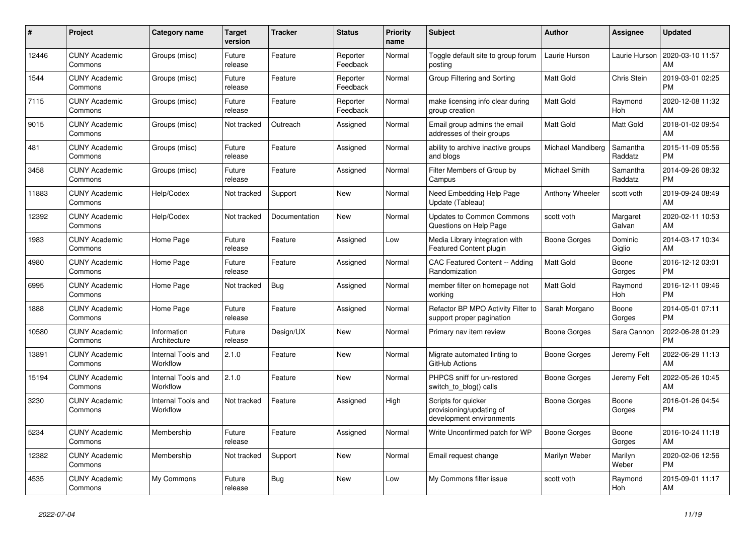| #     | <b>Project</b>                  | Category name                  | <b>Target</b><br>version | <b>Tracker</b> | <b>Status</b>        | <b>Priority</b><br>name | <b>Subject</b>                                                              | <b>Author</b>       | Assignee            | <b>Updated</b>                |
|-------|---------------------------------|--------------------------------|--------------------------|----------------|----------------------|-------------------------|-----------------------------------------------------------------------------|---------------------|---------------------|-------------------------------|
| 12446 | <b>CUNY Academic</b><br>Commons | Groups (misc)                  | Future<br>release        | Feature        | Reporter<br>Feedback | Normal                  | Toggle default site to group forum<br>posting                               | Laurie Hurson       | Laurie Hurson       | 2020-03-10 11:57<br>AM        |
| 1544  | <b>CUNY Academic</b><br>Commons | Groups (misc)                  | Future<br>release        | Feature        | Reporter<br>Feedback | Normal                  | Group Filtering and Sorting                                                 | Matt Gold           | Chris Stein         | 2019-03-01 02:25<br><b>PM</b> |
| 7115  | <b>CUNY Academic</b><br>Commons | Groups (misc)                  | Future<br>release        | Feature        | Reporter<br>Feedback | Normal                  | make licensing info clear during<br>group creation                          | <b>Matt Gold</b>    | Raymond<br>Hoh      | 2020-12-08 11:32<br>AM        |
| 9015  | <b>CUNY Academic</b><br>Commons | Groups (misc)                  | Not tracked              | Outreach       | Assigned             | Normal                  | Email group admins the email<br>addresses of their groups                   | <b>Matt Gold</b>    | <b>Matt Gold</b>    | 2018-01-02 09:54<br>AM        |
| 481   | <b>CUNY Academic</b><br>Commons | Groups (misc)                  | Future<br>release        | Feature        | Assigned             | Normal                  | ability to archive inactive groups<br>and blogs                             | Michael Mandiberg   | Samantha<br>Raddatz | 2015-11-09 05:56<br><b>PM</b> |
| 3458  | <b>CUNY Academic</b><br>Commons | Groups (misc)                  | Future<br>release        | Feature        | Assigned             | Normal                  | Filter Members of Group by<br>Campus                                        | Michael Smith       | Samantha<br>Raddatz | 2014-09-26 08:32<br><b>PM</b> |
| 11883 | <b>CUNY Academic</b><br>Commons | Help/Codex                     | Not tracked              | Support        | <b>New</b>           | Normal                  | Need Embedding Help Page<br>Update (Tableau)                                | Anthony Wheeler     | scott voth          | 2019-09-24 08:49<br>AM        |
| 12392 | <b>CUNY Academic</b><br>Commons | Help/Codex                     | Not tracked              | Documentation  | <b>New</b>           | Normal                  | <b>Updates to Common Commons</b><br>Questions on Help Page                  | scott voth          | Margaret<br>Galvan  | 2020-02-11 10:53<br>AM        |
| 1983  | <b>CUNY Academic</b><br>Commons | Home Page                      | Future<br>release        | Feature        | Assigned             | Low                     | Media Library integration with<br>Featured Content plugin                   | Boone Gorges        | Dominic<br>Giglio   | 2014-03-17 10:34<br>AM        |
| 4980  | <b>CUNY Academic</b><br>Commons | Home Page                      | Future<br>release        | Feature        | Assigned             | Normal                  | CAC Featured Content -- Adding<br>Randomization                             | Matt Gold           | Boone<br>Gorges     | 2016-12-12 03:01<br><b>PM</b> |
| 6995  | <b>CUNY Academic</b><br>Commons | Home Page                      | Not tracked              | Bug            | Assigned             | Normal                  | member filter on homepage not<br>working                                    | <b>Matt Gold</b>    | Raymond<br>Hoh      | 2016-12-11 09:46<br><b>PM</b> |
| 1888  | <b>CUNY Academic</b><br>Commons | Home Page                      | Future<br>release        | Feature        | Assigned             | Normal                  | Refactor BP MPO Activity Filter to<br>support proper pagination             | Sarah Morgano       | Boone<br>Gorges     | 2014-05-01 07:11<br><b>PM</b> |
| 10580 | <b>CUNY Academic</b><br>Commons | Information<br>Architecture    | Future<br>release        | Design/UX      | New                  | Normal                  | Primary nav item review                                                     | Boone Gorges        | Sara Cannon         | 2022-06-28 01:29<br><b>PM</b> |
| 13891 | <b>CUNY Academic</b><br>Commons | Internal Tools and<br>Workflow | 2.1.0                    | Feature        | New                  | Normal                  | Migrate automated linting to<br>GitHub Actions                              | Boone Gorges        | Jeremy Felt         | 2022-06-29 11:13<br>AM        |
| 15194 | <b>CUNY Academic</b><br>Commons | Internal Tools and<br>Workflow | 2.1.0                    | Feature        | <b>New</b>           | Normal                  | PHPCS sniff for un-restored<br>switch_to_blog() calls                       | Boone Gorges        | Jeremy Felt         | 2022-05-26 10:45<br>AM        |
| 3230  | <b>CUNY Academic</b><br>Commons | Internal Tools and<br>Workflow | Not tracked              | Feature        | Assigned             | High                    | Scripts for quicker<br>provisioning/updating of<br>development environments | <b>Boone Gorges</b> | Boone<br>Gorges     | 2016-01-26 04:54<br><b>PM</b> |
| 5234  | <b>CUNY Academic</b><br>Commons | Membership                     | Future<br>release        | Feature        | Assigned             | Normal                  | Write Unconfirmed patch for WP                                              | Boone Gorges        | Boone<br>Gorges     | 2016-10-24 11:18<br>AM        |
| 12382 | <b>CUNY Academic</b><br>Commons | Membership                     | Not tracked              | Support        | New                  | Normal                  | Email request change                                                        | Marilyn Weber       | Marilyn<br>Weber    | 2020-02-06 12:56<br><b>PM</b> |
| 4535  | <b>CUNY Academic</b><br>Commons | My Commons                     | Future<br>release        | Bug            | <b>New</b>           | Low                     | My Commons filter issue                                                     | scott voth          | Raymond<br>Hoh      | 2015-09-01 11:17<br>AM        |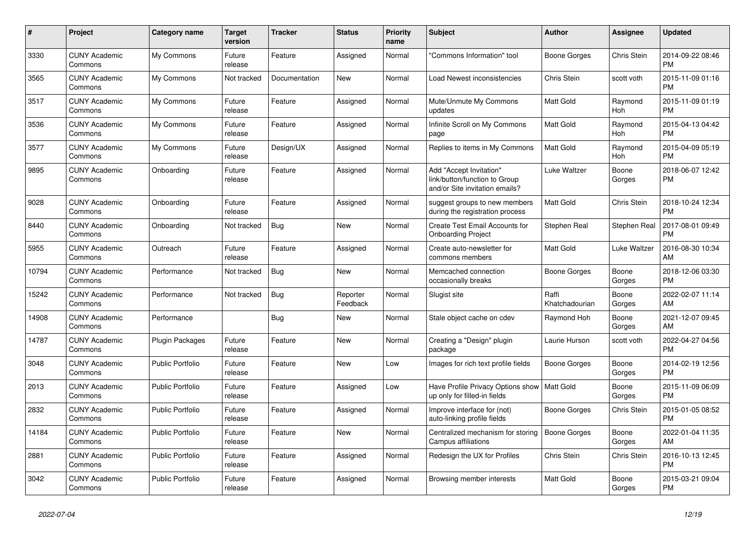| $\pmb{\#}$ | <b>Project</b>                  | <b>Category name</b>    | <b>Target</b><br>version | <b>Tracker</b> | <b>Status</b>        | <b>Priority</b><br>name | <b>Subject</b>                                                                             | <b>Author</b>           | Assignee           | <b>Updated</b>                |
|------------|---------------------------------|-------------------------|--------------------------|----------------|----------------------|-------------------------|--------------------------------------------------------------------------------------------|-------------------------|--------------------|-------------------------------|
| 3330       | <b>CUNY Academic</b><br>Commons | My Commons              | Future<br>release        | Feature        | Assigned             | Normal                  | "Commons Information" tool                                                                 | Boone Gorges            | Chris Stein        | 2014-09-22 08:46<br><b>PM</b> |
| 3565       | <b>CUNY Academic</b><br>Commons | My Commons              | Not tracked              | Documentation  | New                  | Normal                  | Load Newest inconsistencies                                                                | Chris Stein             | scott voth         | 2015-11-09 01:16<br><b>PM</b> |
| 3517       | <b>CUNY Academic</b><br>Commons | My Commons              | Future<br>release        | Feature        | Assigned             | Normal                  | Mute/Unmute My Commons<br>updates                                                          | <b>Matt Gold</b>        | Raymond<br>Hoh     | 2015-11-09 01:19<br><b>PM</b> |
| 3536       | <b>CUNY Academic</b><br>Commons | My Commons              | Future<br>release        | Feature        | Assigned             | Normal                  | Infinite Scroll on My Commons<br>page                                                      | <b>Matt Gold</b>        | Raymond<br>Hoh     | 2015-04-13 04:42<br><b>PM</b> |
| 3577       | <b>CUNY Academic</b><br>Commons | My Commons              | Future<br>release        | Design/UX      | Assigned             | Normal                  | Replies to items in My Commons                                                             | Matt Gold               | Raymond<br>Hoh     | 2015-04-09 05:19<br><b>PM</b> |
| 9895       | <b>CUNY Academic</b><br>Commons | Onboarding              | Future<br>release        | Feature        | Assigned             | Normal                  | Add "Accept Invitation"<br>link/button/function to Group<br>and/or Site invitation emails? | Luke Waltzer            | Boone<br>Gorges    | 2018-06-07 12:42<br><b>PM</b> |
| 9028       | <b>CUNY Academic</b><br>Commons | Onboarding              | Future<br>release        | Feature        | Assigned             | Normal                  | suggest groups to new members<br>during the registration process                           | <b>Matt Gold</b>        | <b>Chris Stein</b> | 2018-10-24 12:34<br><b>PM</b> |
| 8440       | <b>CUNY Academic</b><br>Commons | Onboarding              | Not tracked              | <b>Bug</b>     | New                  | Normal                  | Create Test Email Accounts for<br><b>Onboarding Project</b>                                | Stephen Real            | Stephen Real       | 2017-08-01 09:49<br><b>PM</b> |
| 5955       | <b>CUNY Academic</b><br>Commons | Outreach                | Future<br>release        | Feature        | Assigned             | Normal                  | Create auto-newsletter for<br>commons members                                              | Matt Gold               | Luke Waltzer       | 2016-08-30 10:34<br>AM        |
| 10794      | <b>CUNY Academic</b><br>Commons | Performance             | Not tracked              | Bug            | <b>New</b>           | Normal                  | Memcached connection<br>occasionally breaks                                                | Boone Gorges            | Boone<br>Gorges    | 2018-12-06 03:30<br><b>PM</b> |
| 15242      | <b>CUNY Academic</b><br>Commons | Performance             | Not tracked              | Bug            | Reporter<br>Feedback | Normal                  | Slugist site                                                                               | Raffi<br>Khatchadourian | Boone<br>Gorges    | 2022-02-07 11:14<br>AM        |
| 14908      | <b>CUNY Academic</b><br>Commons | Performance             |                          | Bug            | New                  | Normal                  | Stale object cache on cdev                                                                 | Raymond Hoh             | Boone<br>Gorges    | 2021-12-07 09:45<br>AM        |
| 14787      | <b>CUNY Academic</b><br>Commons | <b>Plugin Packages</b>  | Future<br>release        | Feature        | <b>New</b>           | Normal                  | Creating a "Design" plugin<br>package                                                      | Laurie Hurson           | scott voth         | 2022-04-27 04:56<br><b>PM</b> |
| 3048       | <b>CUNY Academic</b><br>Commons | <b>Public Portfolio</b> | Future<br>release        | Feature        | <b>New</b>           | Low                     | Images for rich text profile fields                                                        | Boone Gorges            | Boone<br>Gorges    | 2014-02-19 12:56<br><b>PM</b> |
| 2013       | <b>CUNY Academic</b><br>Commons | <b>Public Portfolio</b> | Future<br>release        | Feature        | Assigned             | Low                     | Have Profile Privacy Options show<br>up only for filled-in fields                          | Matt Gold               | Boone<br>Gorges    | 2015-11-09 06:09<br><b>PM</b> |
| 2832       | <b>CUNY Academic</b><br>Commons | <b>Public Portfolio</b> | Future<br>release        | Feature        | Assigned             | Normal                  | Improve interface for (not)<br>auto-linking profile fields                                 | Boone Gorges            | Chris Stein        | 2015-01-05 08:52<br><b>PM</b> |
| 14184      | <b>CUNY Academic</b><br>Commons | <b>Public Portfolio</b> | Future<br>release        | Feature        | <b>New</b>           | Normal                  | Centralized mechanism for storing<br>Campus affiliations                                   | Boone Gorges            | Boone<br>Gorges    | 2022-01-04 11:35<br>AM        |
| 2881       | <b>CUNY Academic</b><br>Commons | <b>Public Portfolio</b> | Future<br>release        | Feature        | Assigned             | Normal                  | Redesign the UX for Profiles                                                               | Chris Stein             | Chris Stein        | 2016-10-13 12:45<br><b>PM</b> |
| 3042       | <b>CUNY Academic</b><br>Commons | <b>Public Portfolio</b> | Future<br>release        | Feature        | Assigned             | Normal                  | Browsing member interests                                                                  | <b>Matt Gold</b>        | Boone<br>Gorges    | 2015-03-21 09:04<br><b>PM</b> |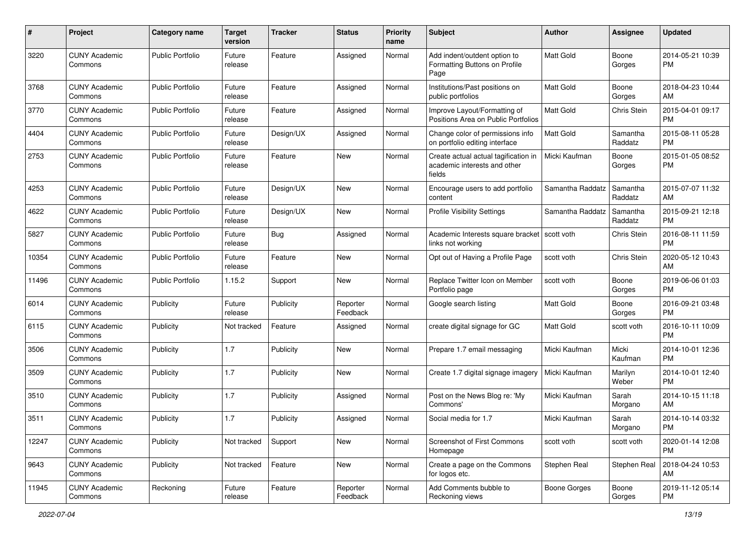| #     | Project                         | <b>Category name</b>    | <b>Target</b><br>version | <b>Tracker</b> | <b>Status</b>        | <b>Priority</b><br>name | <b>Subject</b>                                                                 | Author           | <b>Assignee</b>     | <b>Updated</b>                |
|-------|---------------------------------|-------------------------|--------------------------|----------------|----------------------|-------------------------|--------------------------------------------------------------------------------|------------------|---------------------|-------------------------------|
| 3220  | <b>CUNY Academic</b><br>Commons | <b>Public Portfolio</b> | Future<br>release        | Feature        | Assigned             | Normal                  | Add indent/outdent option to<br>Formatting Buttons on Profile<br>Page          | <b>Matt Gold</b> | Boone<br>Gorges     | 2014-05-21 10:39<br><b>PM</b> |
| 3768  | <b>CUNY Academic</b><br>Commons | Public Portfolio        | Future<br>release        | Feature        | Assigned             | Normal                  | Institutions/Past positions on<br>public portfolios                            | <b>Matt Gold</b> | Boone<br>Gorges     | 2018-04-23 10:44<br>AM        |
| 3770  | <b>CUNY Academic</b><br>Commons | <b>Public Portfolio</b> | Future<br>release        | Feature        | Assigned             | Normal                  | Improve Layout/Formatting of<br>Positions Area on Public Portfolios            | Matt Gold        | Chris Stein         | 2015-04-01 09:17<br><b>PM</b> |
| 4404  | <b>CUNY Academic</b><br>Commons | Public Portfolio        | Future<br>release        | Design/UX      | Assigned             | Normal                  | Change color of permissions info<br>on portfolio editing interface             | Matt Gold        | Samantha<br>Raddatz | 2015-08-11 05:28<br><b>PM</b> |
| 2753  | <b>CUNY Academic</b><br>Commons | Public Portfolio        | Future<br>release        | Feature        | <b>New</b>           | Normal                  | Create actual actual tagification in<br>academic interests and other<br>fields | Micki Kaufman    | Boone<br>Gorges     | 2015-01-05 08:52<br><b>PM</b> |
| 4253  | <b>CUNY Academic</b><br>Commons | Public Portfolio        | Future<br>release        | Design/UX      | New                  | Normal                  | Encourage users to add portfolio<br>content                                    | Samantha Raddatz | Samantha<br>Raddatz | 2015-07-07 11:32<br>AM        |
| 4622  | <b>CUNY Academic</b><br>Commons | Public Portfolio        | Future<br>release        | Design/UX      | <b>New</b>           | Normal                  | <b>Profile Visibility Settings</b>                                             | Samantha Raddatz | Samantha<br>Raddatz | 2015-09-21 12:18<br><b>PM</b> |
| 5827  | <b>CUNY Academic</b><br>Commons | <b>Public Portfolio</b> | Future<br>release        | Bug            | Assigned             | Normal                  | Academic Interests square bracket<br>links not working                         | scott voth       | Chris Stein         | 2016-08-11 11:59<br><b>PM</b> |
| 10354 | <b>CUNY Academic</b><br>Commons | Public Portfolio        | Future<br>release        | Feature        | New                  | Normal                  | Opt out of Having a Profile Page                                               | scott voth       | Chris Stein         | 2020-05-12 10:43<br>AM        |
| 11496 | <b>CUNY Academic</b><br>Commons | Public Portfolio        | 1.15.2                   | Support        | <b>New</b>           | Normal                  | Replace Twitter Icon on Member<br>Portfolio page                               | scott voth       | Boone<br>Gorges     | 2019-06-06 01:03<br><b>PM</b> |
| 6014  | <b>CUNY Academic</b><br>Commons | Publicity               | Future<br>release        | Publicity      | Reporter<br>Feedback | Normal                  | Google search listing                                                          | <b>Matt Gold</b> | Boone<br>Gorges     | 2016-09-21 03:48<br><b>PM</b> |
| 6115  | <b>CUNY Academic</b><br>Commons | Publicity               | Not tracked              | Feature        | Assigned             | Normal                  | create digital signage for GC                                                  | <b>Matt Gold</b> | scott voth          | 2016-10-11 10:09<br><b>PM</b> |
| 3506  | <b>CUNY Academic</b><br>Commons | Publicity               | 1.7                      | Publicity      | <b>New</b>           | Normal                  | Prepare 1.7 email messaging                                                    | Micki Kaufman    | Micki<br>Kaufman    | 2014-10-01 12:36<br><b>PM</b> |
| 3509  | <b>CUNY Academic</b><br>Commons | Publicity               | 1.7                      | Publicity      | <b>New</b>           | Normal                  | Create 1.7 digital signage imagery                                             | Micki Kaufman    | Marilyn<br>Weber    | 2014-10-01 12:40<br><b>PM</b> |
| 3510  | <b>CUNY Academic</b><br>Commons | Publicity               | 1.7                      | Publicity      | Assigned             | Normal                  | Post on the News Blog re: 'My<br>Commons'                                      | Micki Kaufman    | Sarah<br>Morgano    | 2014-10-15 11:18<br>AM        |
| 3511  | <b>CUNY Academic</b><br>Commons | Publicity               | 1.7                      | Publicity      | Assigned             | Normal                  | Social media for 1.7                                                           | Micki Kaufman    | Sarah<br>Morgano    | 2014-10-14 03:32<br>PM        |
| 12247 | <b>CUNY Academic</b><br>Commons | Publicity               | Not tracked              | Support        | New                  | Normal                  | Screenshot of First Commons<br>Homepage                                        | scott voth       | scott voth          | 2020-01-14 12:08<br><b>PM</b> |
| 9643  | <b>CUNY Academic</b><br>Commons | Publicity               | Not tracked              | Feature        | New                  | Normal                  | Create a page on the Commons<br>for logos etc.                                 | Stephen Real     | Stephen Real        | 2018-04-24 10:53<br>AM        |
| 11945 | <b>CUNY Academic</b><br>Commons | Reckoning               | Future<br>release        | Feature        | Reporter<br>Feedback | Normal                  | Add Comments bubble to<br>Reckoning views                                      | Boone Gorges     | Boone<br>Gorges     | 2019-11-12 05:14<br><b>PM</b> |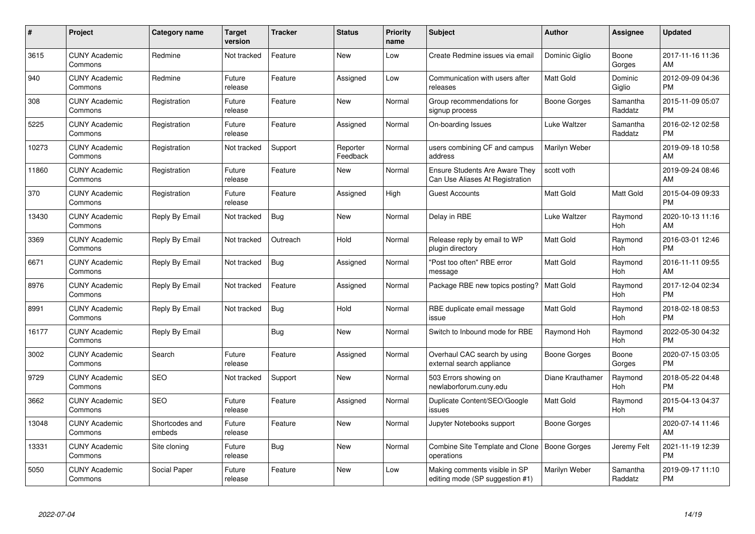| $\#$  | Project                         | <b>Category name</b>     | Target<br>version | <b>Tracker</b> | <b>Status</b>        | Priority<br>name | <b>Subject</b>                                                           | <b>Author</b>       | <b>Assignee</b>     | <b>Updated</b>                |
|-------|---------------------------------|--------------------------|-------------------|----------------|----------------------|------------------|--------------------------------------------------------------------------|---------------------|---------------------|-------------------------------|
| 3615  | <b>CUNY Academic</b><br>Commons | Redmine                  | Not tracked       | Feature        | <b>New</b>           | Low              | Create Redmine issues via email                                          | Dominic Giglio      | Boone<br>Gorges     | 2017-11-16 11:36<br>AM        |
| 940   | <b>CUNY Academic</b><br>Commons | Redmine                  | Future<br>release | Feature        | Assigned             | Low              | Communication with users after<br>releases                               | <b>Matt Gold</b>    | Dominic<br>Giglio   | 2012-09-09 04:36<br><b>PM</b> |
| 308   | <b>CUNY Academic</b><br>Commons | Registration             | Future<br>release | Feature        | <b>New</b>           | Normal           | Group recommendations for<br>signup process                              | Boone Gorges        | Samantha<br>Raddatz | 2015-11-09 05:07<br><b>PM</b> |
| 5225  | <b>CUNY Academic</b><br>Commons | Registration             | Future<br>release | Feature        | Assigned             | Normal           | On-boarding Issues                                                       | Luke Waltzer        | Samantha<br>Raddatz | 2016-02-12 02:58<br><b>PM</b> |
| 10273 | <b>CUNY Academic</b><br>Commons | Registration             | Not tracked       | Support        | Reporter<br>Feedback | Normal           | users combining CF and campus<br>address                                 | Marilyn Weber       |                     | 2019-09-18 10:58<br>AM        |
| 11860 | <b>CUNY Academic</b><br>Commons | Registration             | Future<br>release | Feature        | <b>New</b>           | Normal           | <b>Ensure Students Are Aware They</b><br>Can Use Aliases At Registration | scott voth          |                     | 2019-09-24 08:46<br>AM        |
| 370   | <b>CUNY Academic</b><br>Commons | Registration             | Future<br>release | Feature        | Assigned             | High             | <b>Guest Accounts</b>                                                    | Matt Gold           | Matt Gold           | 2015-04-09 09:33<br><b>PM</b> |
| 13430 | <b>CUNY Academic</b><br>Commons | Reply By Email           | Not tracked       | Bug            | New                  | Normal           | Delay in RBE                                                             | Luke Waltzer        | Raymond<br>Hoh      | 2020-10-13 11:16<br>AM        |
| 3369  | <b>CUNY Academic</b><br>Commons | Reply By Email           | Not tracked       | Outreach       | Hold                 | Normal           | Release reply by email to WP<br>plugin directory                         | <b>Matt Gold</b>    | Raymond<br>Hoh      | 2016-03-01 12:46<br><b>PM</b> |
| 6671  | <b>CUNY Academic</b><br>Commons | Reply By Email           | Not tracked       | Bug            | Assigned             | Normal           | "Post too often" RBE error<br>message                                    | <b>Matt Gold</b>    | Raymond<br>Hoh      | 2016-11-11 09:55<br>AM        |
| 8976  | <b>CUNY Academic</b><br>Commons | Reply By Email           | Not tracked       | Feature        | Assigned             | Normal           | Package RBE new topics posting?                                          | <b>Matt Gold</b>    | Raymond<br>Hoh      | 2017-12-04 02:34<br><b>PM</b> |
| 8991  | <b>CUNY Academic</b><br>Commons | Reply By Email           | Not tracked       | Bug            | Hold                 | Normal           | RBE duplicate email message<br>issue                                     | Matt Gold           | Raymond<br>Hoh      | 2018-02-18 08:53<br><b>PM</b> |
| 16177 | <b>CUNY Academic</b><br>Commons | Reply By Email           |                   | Bug            | New                  | Normal           | Switch to Inbound mode for RBE                                           | Raymond Hoh         | Raymond<br>Hoh      | 2022-05-30 04:32<br><b>PM</b> |
| 3002  | <b>CUNY Academic</b><br>Commons | Search                   | Future<br>release | Feature        | Assigned             | Normal           | Overhaul CAC search by using<br>external search appliance                | <b>Boone Gorges</b> | Boone<br>Gorges     | 2020-07-15 03:05<br><b>PM</b> |
| 9729  | <b>CUNY Academic</b><br>Commons | <b>SEO</b>               | Not tracked       | Support        | New                  | Normal           | 503 Errors showing on<br>newlaborforum.cuny.edu                          | Diane Krauthamer    | Raymond<br>Hoh      | 2018-05-22 04:48<br><b>PM</b> |
| 3662  | <b>CUNY Academic</b><br>Commons | <b>SEO</b>               | Future<br>release | Feature        | Assigned             | Normal           | Duplicate Content/SEO/Google<br>issues                                   | Matt Gold           | Raymond<br>Hoh      | 2015-04-13 04:37<br><b>PM</b> |
| 13048 | <b>CUNY Academic</b><br>Commons | Shortcodes and<br>embeds | Future<br>release | Feature        | New                  | Normal           | Jupyter Notebooks support                                                | Boone Gorges        |                     | 2020-07-14 11:46<br>AM        |
| 13331 | <b>CUNY Academic</b><br>Commons | Site cloning             | Future<br>release | Bug            | New                  | Normal           | Combine Site Template and Clone<br>operations                            | Boone Gorges        | Jeremy Felt         | 2021-11-19 12:39<br><b>PM</b> |
| 5050  | <b>CUNY Academic</b><br>Commons | Social Paper             | Future<br>release | Feature        | <b>New</b>           | Low              | Making comments visible in SP<br>editing mode (SP suggestion #1)         | Marilyn Weber       | Samantha<br>Raddatz | 2019-09-17 11:10<br><b>PM</b> |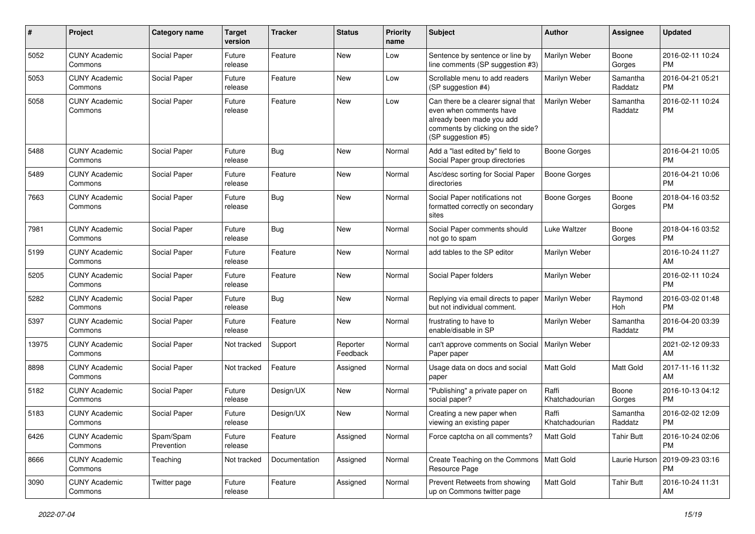| #     | Project                         | <b>Category name</b>    | <b>Target</b><br>version | <b>Tracker</b> | <b>Status</b>        | Priority<br>name | <b>Subject</b>                                                                                                                                        | Author                  | <b>Assignee</b>     | <b>Updated</b>                |
|-------|---------------------------------|-------------------------|--------------------------|----------------|----------------------|------------------|-------------------------------------------------------------------------------------------------------------------------------------------------------|-------------------------|---------------------|-------------------------------|
| 5052  | <b>CUNY Academic</b><br>Commons | Social Paper            | Future<br>release        | Feature        | <b>New</b>           | Low              | Sentence by sentence or line by<br>line comments (SP suggestion #3)                                                                                   | Marilyn Weber           | Boone<br>Gorges     | 2016-02-11 10:24<br><b>PM</b> |
| 5053  | <b>CUNY Academic</b><br>Commons | Social Paper            | Future<br>release        | Feature        | New                  | Low              | Scrollable menu to add readers<br>(SP suggestion #4)                                                                                                  | Marilyn Weber           | Samantha<br>Raddatz | 2016-04-21 05:21<br><b>PM</b> |
| 5058  | <b>CUNY Academic</b><br>Commons | Social Paper            | Future<br>release        | Feature        | <b>New</b>           | Low              | Can there be a clearer signal that<br>even when comments have<br>already been made you add<br>comments by clicking on the side?<br>(SP suggestion #5) | Marilyn Weber           | Samantha<br>Raddatz | 2016-02-11 10:24<br><b>PM</b> |
| 5488  | <b>CUNY Academic</b><br>Commons | Social Paper            | Future<br>release        | Bug            | <b>New</b>           | Normal           | Add a "last edited by" field to<br>Social Paper group directories                                                                                     | <b>Boone Gorges</b>     |                     | 2016-04-21 10:05<br><b>PM</b> |
| 5489  | <b>CUNY Academic</b><br>Commons | Social Paper            | Future<br>release        | Feature        | New                  | Normal           | Asc/desc sorting for Social Paper<br>directories                                                                                                      | <b>Boone Gorges</b>     |                     | 2016-04-21 10:06<br><b>PM</b> |
| 7663  | <b>CUNY Academic</b><br>Commons | Social Paper            | Future<br>release        | Bug            | New                  | Normal           | Social Paper notifications not<br>formatted correctly on secondary<br>sites                                                                           | Boone Gorges            | Boone<br>Gorges     | 2018-04-16 03:52<br><b>PM</b> |
| 7981  | <b>CUNY Academic</b><br>Commons | Social Paper            | Future<br>release        | Bug            | New                  | Normal           | Social Paper comments should<br>not go to spam                                                                                                        | Luke Waltzer            | Boone<br>Gorges     | 2018-04-16 03:52<br><b>PM</b> |
| 5199  | <b>CUNY Academic</b><br>Commons | Social Paper            | Future<br>release        | Feature        | New                  | Normal           | add tables to the SP editor                                                                                                                           | Marilyn Weber           |                     | 2016-10-24 11:27<br>AM        |
| 5205  | <b>CUNY Academic</b><br>Commons | Social Paper            | Future<br>release        | Feature        | <b>New</b>           | Normal           | Social Paper folders                                                                                                                                  | Marilyn Weber           |                     | 2016-02-11 10:24<br><b>PM</b> |
| 5282  | <b>CUNY Academic</b><br>Commons | Social Paper            | Future<br>release        | Bug            | <b>New</b>           | Normal           | Replying via email directs to paper<br>but not individual comment.                                                                                    | Marilyn Weber           | Raymond<br>Hoh      | 2016-03-02 01:48<br><b>PM</b> |
| 5397  | <b>CUNY Academic</b><br>Commons | Social Paper            | Future<br>release        | Feature        | New                  | Normal           | frustrating to have to<br>enable/disable in SP                                                                                                        | Marilyn Weber           | Samantha<br>Raddatz | 2016-04-20 03:39<br><b>PM</b> |
| 13975 | <b>CUNY Academic</b><br>Commons | Social Paper            | Not tracked              | Support        | Reporter<br>Feedback | Normal           | can't approve comments on Social<br>Paper paper                                                                                                       | Marilyn Weber           |                     | 2021-02-12 09:33<br>AM        |
| 8898  | <b>CUNY Academic</b><br>Commons | Social Paper            | Not tracked              | Feature        | Assigned             | Normal           | Usage data on docs and social<br>paper                                                                                                                | <b>Matt Gold</b>        | Matt Gold           | 2017-11-16 11:32<br>AM        |
| 5182  | <b>CUNY Academic</b><br>Commons | Social Paper            | Future<br>release        | Design/UX      | New                  | Normal           | "Publishing" a private paper on<br>social paper?                                                                                                      | Raffi<br>Khatchadourian | Boone<br>Gorges     | 2016-10-13 04:12<br><b>PM</b> |
| 5183  | <b>CUNY Academic</b><br>Commons | Social Paper            | Future<br>release        | Design/UX      | <b>New</b>           | Normal           | Creating a new paper when<br>viewing an existing paper                                                                                                | Raffi<br>Khatchadourian | Samantha<br>Raddatz | 2016-02-02 12:09<br><b>PM</b> |
| 6426  | <b>CUNY Academic</b><br>Commons | Spam/Spam<br>Prevention | Future<br>release        | Feature        | Assigned             | Normal           | Force captcha on all comments?                                                                                                                        | <b>Matt Gold</b>        | <b>Tahir Butt</b>   | 2016-10-24 02:06<br><b>PM</b> |
| 8666  | <b>CUNY Academic</b><br>Commons | Teaching                | Not tracked              | Documentation  | Assigned             | Normal           | Create Teaching on the Commons   Matt Gold<br>Resource Page                                                                                           |                         | Laurie Hurson       | 2019-09-23 03:16<br><b>PM</b> |
| 3090  | <b>CUNY Academic</b><br>Commons | Twitter page            | Future<br>release        | Feature        | Assigned             | Normal           | Prevent Retweets from showing<br>up on Commons twitter page                                                                                           | Matt Gold               | <b>Tahir Butt</b>   | 2016-10-24 11:31<br>AM        |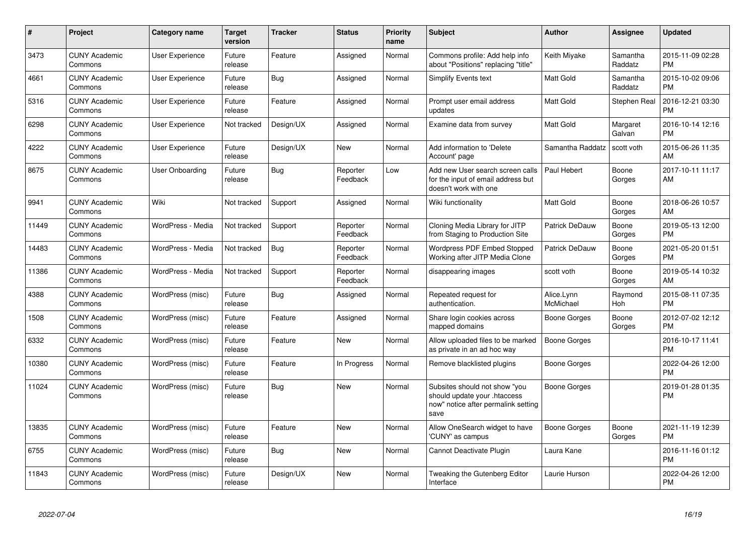| #     | <b>Project</b>                  | Category name          | <b>Target</b><br>version | <b>Tracker</b> | <b>Status</b>        | <b>Priority</b><br>name | <b>Subject</b>                                                                                               | <b>Author</b>           | Assignee            | <b>Updated</b>                |
|-------|---------------------------------|------------------------|--------------------------|----------------|----------------------|-------------------------|--------------------------------------------------------------------------------------------------------------|-------------------------|---------------------|-------------------------------|
| 3473  | <b>CUNY Academic</b><br>Commons | User Experience        | Future<br>release        | Feature        | Assigned             | Normal                  | Commons profile: Add help info<br>about "Positions" replacing "title"                                        | Keith Miyake            | Samantha<br>Raddatz | 2015-11-09 02:28<br><b>PM</b> |
| 4661  | <b>CUNY Academic</b><br>Commons | <b>User Experience</b> | Future<br>release        | Bug            | Assigned             | Normal                  | <b>Simplify Events text</b>                                                                                  | <b>Matt Gold</b>        | Samantha<br>Raddatz | 2015-10-02 09:06<br><b>PM</b> |
| 5316  | <b>CUNY Academic</b><br>Commons | <b>User Experience</b> | Future<br>release        | Feature        | Assigned             | Normal                  | Prompt user email address<br>updates                                                                         | <b>Matt Gold</b>        | Stephen Real        | 2016-12-21 03:30<br><b>PM</b> |
| 6298  | <b>CUNY Academic</b><br>Commons | <b>User Experience</b> | Not tracked              | Design/UX      | Assigned             | Normal                  | Examine data from survey                                                                                     | <b>Matt Gold</b>        | Margaret<br>Galvan  | 2016-10-14 12:16<br><b>PM</b> |
| 4222  | <b>CUNY Academic</b><br>Commons | User Experience        | Future<br>release        | Design/UX      | New                  | Normal                  | Add information to 'Delete<br>Account' page                                                                  | Samantha Raddatz        | scott voth          | 2015-06-26 11:35<br>AM        |
| 8675  | <b>CUNY Academic</b><br>Commons | User Onboarding        | Future<br>release        | <b>Bug</b>     | Reporter<br>Feedback | Low                     | Add new User search screen calls<br>for the input of email address but<br>doesn't work with one              | Paul Hebert             | Boone<br>Gorges     | 2017-10-11 11:17<br>AM        |
| 9941  | <b>CUNY Academic</b><br>Commons | Wiki                   | Not tracked              | Support        | Assigned             | Normal                  | Wiki functionality                                                                                           | <b>Matt Gold</b>        | Boone<br>Gorges     | 2018-06-26 10:57<br>AM        |
| 11449 | <b>CUNY Academic</b><br>Commons | WordPress - Media      | Not tracked              | Support        | Reporter<br>Feedback | Normal                  | Cloning Media Library for JITP<br>from Staging to Production Site                                            | Patrick DeDauw          | Boone<br>Gorges     | 2019-05-13 12:00<br><b>PM</b> |
| 14483 | <b>CUNY Academic</b><br>Commons | WordPress - Media      | Not tracked              | <b>Bug</b>     | Reporter<br>Feedback | Normal                  | <b>Wordpress PDF Embed Stopped</b><br>Working after JITP Media Clone                                         | <b>Patrick DeDauw</b>   | Boone<br>Gorges     | 2021-05-20 01:51<br><b>PM</b> |
| 11386 | <b>CUNY Academic</b><br>Commons | WordPress - Media      | Not tracked              | Support        | Reporter<br>Feedback | Normal                  | disappearing images                                                                                          | scott voth              | Boone<br>Gorges     | 2019-05-14 10:32<br><b>AM</b> |
| 4388  | <b>CUNY Academic</b><br>Commons | WordPress (misc)       | Future<br>release        | Bug            | Assigned             | Normal                  | Repeated request for<br>authentication.                                                                      | Alice.Lynn<br>McMichael | Raymond<br>Hoh      | 2015-08-11 07:35<br><b>PM</b> |
| 1508  | <b>CUNY Academic</b><br>Commons | WordPress (misc)       | Future<br>release        | Feature        | Assigned             | Normal                  | Share login cookies across<br>mapped domains                                                                 | Boone Gorges            | Boone<br>Gorges     | 2012-07-02 12:12<br><b>PM</b> |
| 6332  | <b>CUNY Academic</b><br>Commons | WordPress (misc)       | Future<br>release        | Feature        | New                  | Normal                  | Allow uploaded files to be marked<br>as private in an ad hoc way                                             | <b>Boone Gorges</b>     |                     | 2016-10-17 11:41<br><b>PM</b> |
| 10380 | <b>CUNY Academic</b><br>Commons | WordPress (misc)       | Future<br>release        | Feature        | In Progress          | Normal                  | Remove blacklisted plugins                                                                                   | Boone Gorges            |                     | 2022-04-26 12:00<br><b>PM</b> |
| 11024 | <b>CUNY Academic</b><br>Commons | WordPress (misc)       | Future<br>release        | Bug            | <b>New</b>           | Normal                  | Subsites should not show "you<br>should update your .htaccess<br>now" notice after permalink setting<br>save | Boone Gorges            |                     | 2019-01-28 01:35<br><b>PM</b> |
| 13835 | <b>CUNY Academic</b><br>Commons | WordPress (misc)       | Future<br>release        | Feature        | <b>New</b>           | Normal                  | Allow OneSearch widget to have<br>'CUNY' as campus                                                           | <b>Boone Gorges</b>     | Boone<br>Gorges     | 2021-11-19 12:39<br><b>PM</b> |
| 6755  | <b>CUNY Academic</b><br>Commons | WordPress (misc)       | Future<br>release        | Bug            | <b>New</b>           | Normal                  | Cannot Deactivate Plugin                                                                                     | Laura Kane              |                     | 2016-11-16 01:12<br><b>PM</b> |
| 11843 | <b>CUNY Academic</b><br>Commons | WordPress (misc)       | Future<br>release        | Design/UX      | <b>New</b>           | Normal                  | Tweaking the Gutenberg Editor<br>Interface                                                                   | Laurie Hurson           |                     | 2022-04-26 12:00<br><b>PM</b> |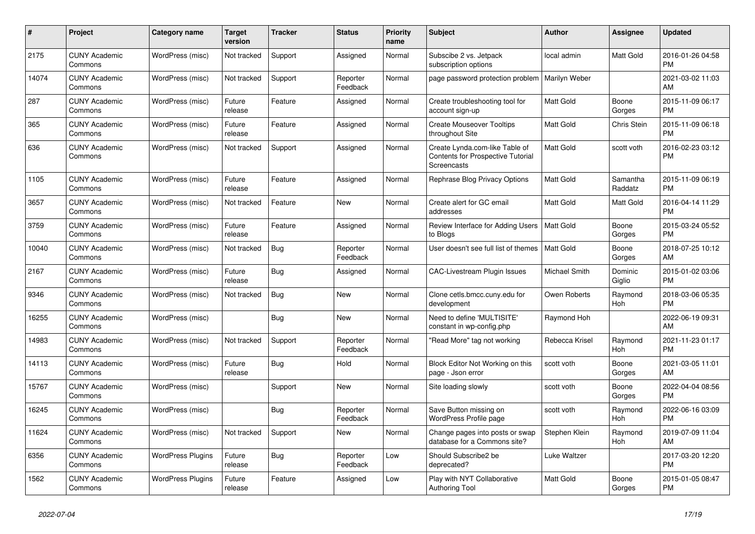| $\#$  | Project                         | <b>Category name</b>     | <b>Target</b><br>version | <b>Tracker</b> | <b>Status</b>        | <b>Priority</b><br>name | <b>Subject</b>                                                                     | <b>Author</b>    | Assignee            | <b>Updated</b>                |
|-------|---------------------------------|--------------------------|--------------------------|----------------|----------------------|-------------------------|------------------------------------------------------------------------------------|------------------|---------------------|-------------------------------|
| 2175  | <b>CUNY Academic</b><br>Commons | WordPress (misc)         | Not tracked              | Support        | Assigned             | Normal                  | Subscibe 2 vs. Jetpack<br>subscription options                                     | local admin      | Matt Gold           | 2016-01-26 04:58<br><b>PM</b> |
| 14074 | <b>CUNY Academic</b><br>Commons | WordPress (misc)         | Not tracked              | Support        | Reporter<br>Feedback | Normal                  | page password protection problem                                                   | Marilyn Weber    |                     | 2021-03-02 11:03<br>AM        |
| 287   | <b>CUNY Academic</b><br>Commons | WordPress (misc)         | Future<br>release        | Feature        | Assigned             | Normal                  | Create troubleshooting tool for<br>account sign-up                                 | Matt Gold        | Boone<br>Gorges     | 2015-11-09 06:17<br><b>PM</b> |
| 365   | <b>CUNY Academic</b><br>Commons | WordPress (misc)         | Future<br>release        | Feature        | Assigned             | Normal                  | <b>Create Mouseover Tooltips</b><br>throughout Site                                | <b>Matt Gold</b> | Chris Stein         | 2015-11-09 06:18<br><b>PM</b> |
| 636   | <b>CUNY Academic</b><br>Commons | WordPress (misc)         | Not tracked              | Support        | Assigned             | Normal                  | Create Lynda.com-like Table of<br>Contents for Prospective Tutorial<br>Screencasts | Matt Gold        | scott voth          | 2016-02-23 03:12<br><b>PM</b> |
| 1105  | <b>CUNY Academic</b><br>Commons | WordPress (misc)         | Future<br>release        | Feature        | Assigned             | Normal                  | Rephrase Blog Privacy Options                                                      | <b>Matt Gold</b> | Samantha<br>Raddatz | 2015-11-09 06:19<br><b>PM</b> |
| 3657  | <b>CUNY Academic</b><br>Commons | WordPress (misc)         | Not tracked              | Feature        | <b>New</b>           | Normal                  | Create alert for GC email<br>addresses                                             | Matt Gold        | Matt Gold           | 2016-04-14 11:29<br><b>PM</b> |
| 3759  | <b>CUNY Academic</b><br>Commons | WordPress (misc)         | Future<br>release        | Feature        | Assigned             | Normal                  | Review Interface for Adding Users<br>to Blogs                                      | <b>Matt Gold</b> | Boone<br>Gorges     | 2015-03-24 05:52<br><b>PM</b> |
| 10040 | <b>CUNY Academic</b><br>Commons | WordPress (misc)         | Not tracked              | Bug            | Reporter<br>Feedback | Normal                  | User doesn't see full list of themes                                               | Matt Gold        | Boone<br>Gorges     | 2018-07-25 10:12<br>AM        |
| 2167  | <b>CUNY Academic</b><br>Commons | WordPress (misc)         | Future<br>release        | Bug            | Assigned             | Normal                  | <b>CAC-Livestream Plugin Issues</b>                                                | Michael Smith    | Dominic<br>Giglio   | 2015-01-02 03:06<br><b>PM</b> |
| 9346  | <b>CUNY Academic</b><br>Commons | WordPress (misc)         | Not tracked              | Bug            | New                  | Normal                  | Clone cetls.bmcc.cuny.edu for<br>development                                       | Owen Roberts     | Raymond<br>Hoh      | 2018-03-06 05:35<br><b>PM</b> |
| 16255 | <b>CUNY Academic</b><br>Commons | WordPress (misc)         |                          | <b>Bug</b>     | New                  | Normal                  | Need to define 'MULTISITE'<br>constant in wp-config.php                            | Raymond Hoh      |                     | 2022-06-19 09:31<br>AM        |
| 14983 | <b>CUNY Academic</b><br>Commons | WordPress (misc)         | Not tracked              | Support        | Reporter<br>Feedback | Normal                  | "Read More" tag not working                                                        | Rebecca Krisel   | Raymond<br>Hoh      | 2021-11-23 01:17<br><b>PM</b> |
| 14113 | <b>CUNY Academic</b><br>Commons | WordPress (misc)         | Future<br>release        | Bug            | Hold                 | Normal                  | Block Editor Not Working on this<br>page - Json error                              | scott voth       | Boone<br>Gorges     | 2021-03-05 11:01<br>AM        |
| 15767 | <b>CUNY Academic</b><br>Commons | WordPress (misc)         |                          | Support        | <b>New</b>           | Normal                  | Site loading slowly                                                                | scott voth       | Boone<br>Gorges     | 2022-04-04 08:56<br><b>PM</b> |
| 16245 | <b>CUNY Academic</b><br>Commons | WordPress (misc)         |                          | Bug            | Reporter<br>Feedback | Normal                  | Save Button missing on<br>WordPress Profile page                                   | scott voth       | Raymond<br>Hoh      | 2022-06-16 03:09<br><b>PM</b> |
| 11624 | <b>CUNY Academic</b><br>Commons | WordPress (misc)         | Not tracked              | Support        | <b>New</b>           | Normal                  | Change pages into posts or swap<br>database for a Commons site?                    | Stephen Klein    | Raymond<br>Hoh      | 2019-07-09 11:04<br>AM        |
| 6356  | <b>CUNY Academic</b><br>Commons | <b>WordPress Plugins</b> | Future<br>release        | Bug            | Reporter<br>Feedback | Low                     | Should Subscribe2 be<br>deprecated?                                                | Luke Waltzer     |                     | 2017-03-20 12:20<br><b>PM</b> |
| 1562  | <b>CUNY Academic</b><br>Commons | <b>WordPress Plugins</b> | Future<br>release        | Feature        | Assigned             | Low                     | Play with NYT Collaborative<br><b>Authoring Tool</b>                               | <b>Matt Gold</b> | Boone<br>Gorges     | 2015-01-05 08:47<br><b>PM</b> |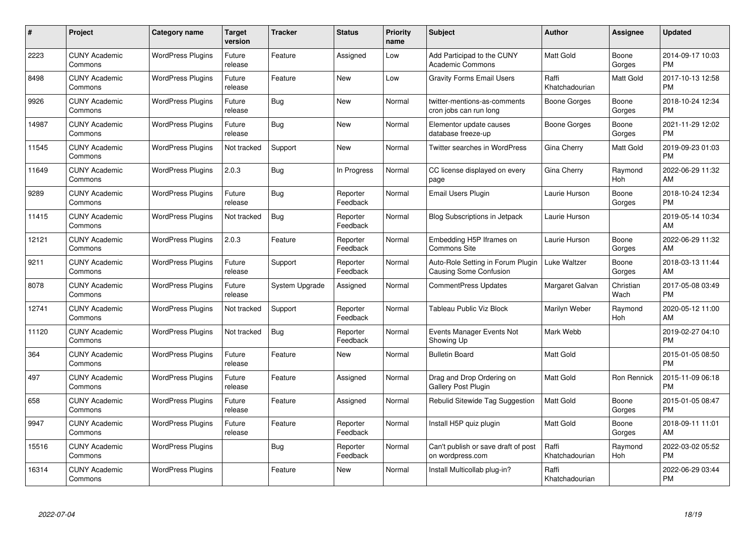| #     | Project                         | <b>Category name</b>     | <b>Target</b><br>version | <b>Tracker</b> | <b>Status</b>        | <b>Priority</b><br>name | <b>Subject</b>                                              | <b>Author</b>           | Assignee          | <b>Updated</b>                |
|-------|---------------------------------|--------------------------|--------------------------|----------------|----------------------|-------------------------|-------------------------------------------------------------|-------------------------|-------------------|-------------------------------|
| 2223  | <b>CUNY Academic</b><br>Commons | <b>WordPress Plugins</b> | Future<br>release        | Feature        | Assigned             | Low                     | Add Participad to the CUNY<br><b>Academic Commons</b>       | <b>Matt Gold</b>        | Boone<br>Gorges   | 2014-09-17 10:03<br><b>PM</b> |
| 8498  | <b>CUNY Academic</b><br>Commons | <b>WordPress Plugins</b> | Future<br>release        | Feature        | New                  | Low                     | <b>Gravity Forms Email Users</b>                            | Raffi<br>Khatchadourian | Matt Gold         | 2017-10-13 12:58<br><b>PM</b> |
| 9926  | <b>CUNY Academic</b><br>Commons | <b>WordPress Plugins</b> | Future<br>release        | Bug            | <b>New</b>           | Normal                  | twitter-mentions-as-comments<br>cron jobs can run long      | <b>Boone Gorges</b>     | Boone<br>Gorges   | 2018-10-24 12:34<br><b>PM</b> |
| 14987 | <b>CUNY Academic</b><br>Commons | <b>WordPress Plugins</b> | Future<br>release        | Bug            | New                  | Normal                  | Elementor update causes<br>database freeze-up               | Boone Gorges            | Boone<br>Gorges   | 2021-11-29 12:02<br><b>PM</b> |
| 11545 | <b>CUNY Academic</b><br>Commons | <b>WordPress Plugins</b> | Not tracked              | Support        | <b>New</b>           | Normal                  | <b>Twitter searches in WordPress</b>                        | Gina Cherry             | Matt Gold         | 2019-09-23 01:03<br><b>PM</b> |
| 11649 | <b>CUNY Academic</b><br>Commons | <b>WordPress Plugins</b> | 2.0.3                    | Bug            | In Progress          | Normal                  | CC license displayed on every<br>page                       | Gina Cherry             | Raymond<br>Hoh    | 2022-06-29 11:32<br>AM        |
| 9289  | <b>CUNY Academic</b><br>Commons | <b>WordPress Plugins</b> | Future<br>release        | Bug            | Reporter<br>Feedback | Normal                  | Email Users Plugin                                          | Laurie Hurson           | Boone<br>Gorges   | 2018-10-24 12:34<br><b>PM</b> |
| 11415 | <b>CUNY Academic</b><br>Commons | <b>WordPress Plugins</b> | Not tracked              | Bug            | Reporter<br>Feedback | Normal                  | <b>Blog Subscriptions in Jetpack</b>                        | Laurie Hurson           |                   | 2019-05-14 10:34<br>AM        |
| 12121 | <b>CUNY Academic</b><br>Commons | <b>WordPress Plugins</b> | 2.0.3                    | Feature        | Reporter<br>Feedback | Normal                  | Embedding H5P Iframes on<br><b>Commons Site</b>             | Laurie Hurson           | Boone<br>Gorges   | 2022-06-29 11:32<br>AM        |
| 9211  | <b>CUNY Academic</b><br>Commons | <b>WordPress Plugins</b> | Future<br>release        | Support        | Reporter<br>Feedback | Normal                  | Auto-Role Setting in Forum Plugin<br>Causing Some Confusion | Luke Waltzer            | Boone<br>Gorges   | 2018-03-13 11:44<br>AM        |
| 8078  | <b>CUNY Academic</b><br>Commons | <b>WordPress Plugins</b> | Future<br>release        | System Upgrade | Assigned             | Normal                  | <b>CommentPress Updates</b>                                 | Margaret Galvan         | Christian<br>Wach | 2017-05-08 03:49<br><b>PM</b> |
| 12741 | <b>CUNY Academic</b><br>Commons | <b>WordPress Plugins</b> | Not tracked              | Support        | Reporter<br>Feedback | Normal                  | Tableau Public Viz Block                                    | Marilyn Weber           | Raymond<br>Hoh    | 2020-05-12 11:00<br>AM        |
| 11120 | <b>CUNY Academic</b><br>Commons | <b>WordPress Plugins</b> | Not tracked              | Bug            | Reporter<br>Feedback | Normal                  | Events Manager Events Not<br>Showing Up                     | Mark Webb               |                   | 2019-02-27 04:10<br><b>PM</b> |
| 364   | <b>CUNY Academic</b><br>Commons | <b>WordPress Plugins</b> | Future<br>release        | Feature        | New                  | Normal                  | <b>Bulletin Board</b>                                       | <b>Matt Gold</b>        |                   | 2015-01-05 08:50<br><b>PM</b> |
| 497   | <b>CUNY Academic</b><br>Commons | <b>WordPress Plugins</b> | Future<br>release        | Feature        | Assigned             | Normal                  | Drag and Drop Ordering on<br>Gallery Post Plugin            | Matt Gold               | Ron Rennick       | 2015-11-09 06:18<br><b>PM</b> |
| 658   | <b>CUNY Academic</b><br>Commons | <b>WordPress Plugins</b> | Future<br>release        | Feature        | Assigned             | Normal                  | Rebulid Sitewide Tag Suggestion                             | <b>Matt Gold</b>        | Boone<br>Gorges   | 2015-01-05 08:47<br><b>PM</b> |
| 9947  | <b>CUNY Academic</b><br>Commons | <b>WordPress Plugins</b> | Future<br>release        | Feature        | Reporter<br>Feedback | Normal                  | Install H5P quiz plugin                                     | Matt Gold               | Boone<br>Gorges   | 2018-09-11 11:01<br>AM        |
| 15516 | <b>CUNY Academic</b><br>Commons | <b>WordPress Plugins</b> |                          | Bug            | Reporter<br>Feedback | Normal                  | Can't publish or save draft of post<br>on wordpress.com     | Raffi<br>Khatchadourian | Raymond<br>Hoh    | 2022-03-02 05:52<br><b>PM</b> |
| 16314 | <b>CUNY Academic</b><br>Commons | <b>WordPress Plugins</b> |                          | Feature        | <b>New</b>           | Normal                  | Install Multicollab plug-in?                                | Raffi<br>Khatchadourian |                   | 2022-06-29 03:44<br><b>PM</b> |